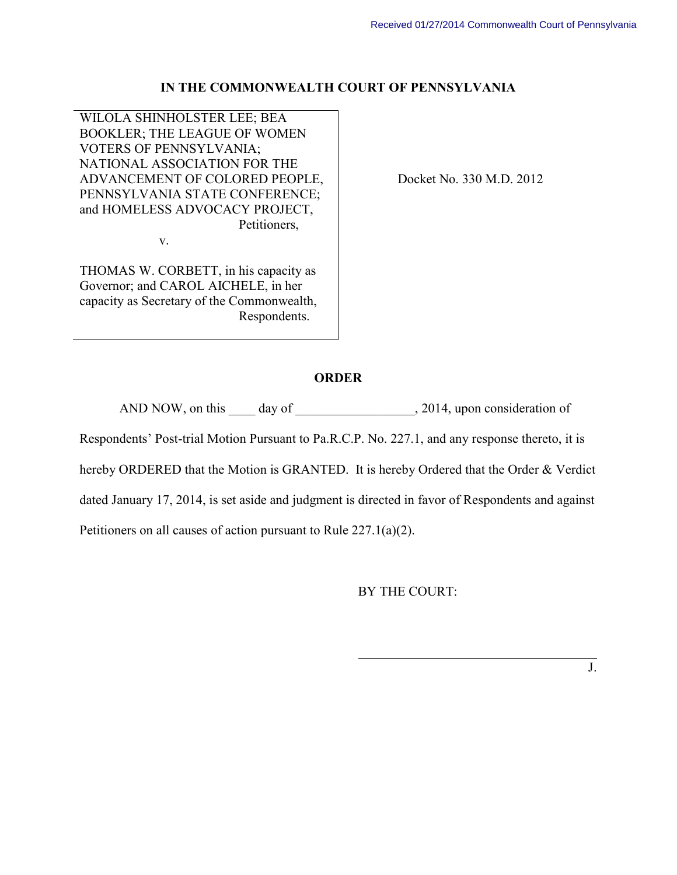#### **IN THE COMMONWEALTH COURT OF PENNSYLVANIA**

WILOLA SHINHOLSTER LEE; BEA BOOKLER; THE LEAGUE OF WOMEN VOTERS OF PENNSYLVANIA; NATIONAL ASSOCIATION FOR THE ADVANCEMENT OF COLORED PEOPLE, PENNSYLVANIA STATE CONFERENCE; and HOMELESS ADVOCACY PROJECT, Petitioners,

v.

THOMAS W. CORBETT, in his capacity as Governor; and CAROL AICHELE, in her capacity as Secretary of the Commonwealth, Respondents.

Docket No. 330 M.D. 2012

#### **ORDER**

AND NOW, on this day of 3014, upon consideration of

Respondents' Post-trial Motion Pursuant to Pa.R.C.P. No. 227.1, and any response thereto, it is

hereby ORDERED that the Motion is GRANTED. It is hereby Ordered that the Order & Verdict

dated January 17, 2014, is set aside and judgment is directed in favor of Respondents and against

 $\overline{a}$ 

Petitioners on all causes of action pursuant to Rule 227.1(a)(2).

BY THE COURT: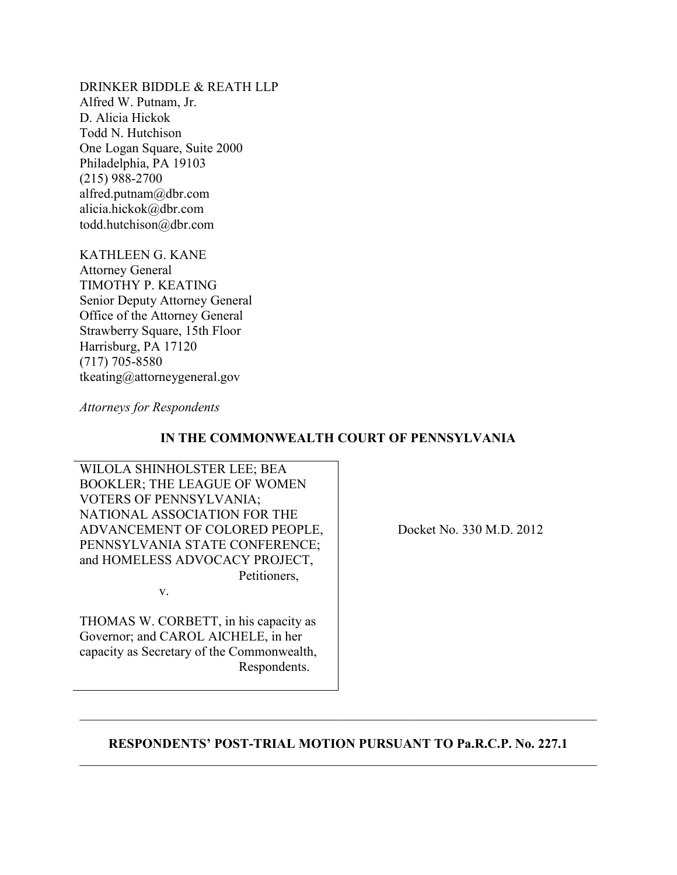DRINKER BIDDLE & REATH LLP Alfred W. Putnam, Jr. D. Alicia Hickok Todd N. Hutchison One Logan Square, Suite 2000 Philadelphia, PA 19103 (215) 988-2700 alfred.putnam@dbr.com alicia.hickok@dbr.com todd.hutchison@dbr.com

KATHLEEN G. KANE Attorney General TIMOTHY P. KEATING Senior Deputy Attorney General Office of the Attorney General Strawberry Square, 15th Floor Harrisburg, PA 17120 (717) 705-8580 tkeating@attorneygeneral.gov

*Attorneys for Respondents* 

## **IN THE COMMONWEALTH COURT OF PENNSYLVANIA**

WILOLA SHINHOLSTER LEE; BEA BOOKLER; THE LEAGUE OF WOMEN VOTERS OF PENNSYLVANIA; NATIONAL ASSOCIATION FOR THE ADVANCEMENT OF COLORED PEOPLE, PENNSYLVANIA STATE CONFERENCE; and HOMELESS ADVOCACY PROJECT, Petitioners,

v.

THOMAS W. CORBETT, in his capacity as Governor; and CAROL AICHELE, in her capacity as Secretary of the Commonwealth, Respondents.

Docket No. 330 M.D. 2012

## **RESPONDENTS' POST-TRIAL MOTION PURSUANT TO Pa.R.C.P. No. 227.1** \_\_\_\_\_\_\_\_\_\_\_\_\_\_\_\_\_\_\_\_\_\_\_\_\_\_\_\_\_\_\_\_\_\_\_\_\_\_\_\_\_\_\_\_\_\_\_\_\_\_\_\_\_\_\_\_\_\_\_\_\_\_\_\_\_\_\_\_\_\_\_\_\_\_\_\_\_\_

\_\_\_\_\_\_\_\_\_\_\_\_\_\_\_\_\_\_\_\_\_\_\_\_\_\_\_\_\_\_\_\_\_\_\_\_\_\_\_\_\_\_\_\_\_\_\_\_\_\_\_\_\_\_\_\_\_\_\_\_\_\_\_\_\_\_\_\_\_\_\_\_\_\_\_\_\_\_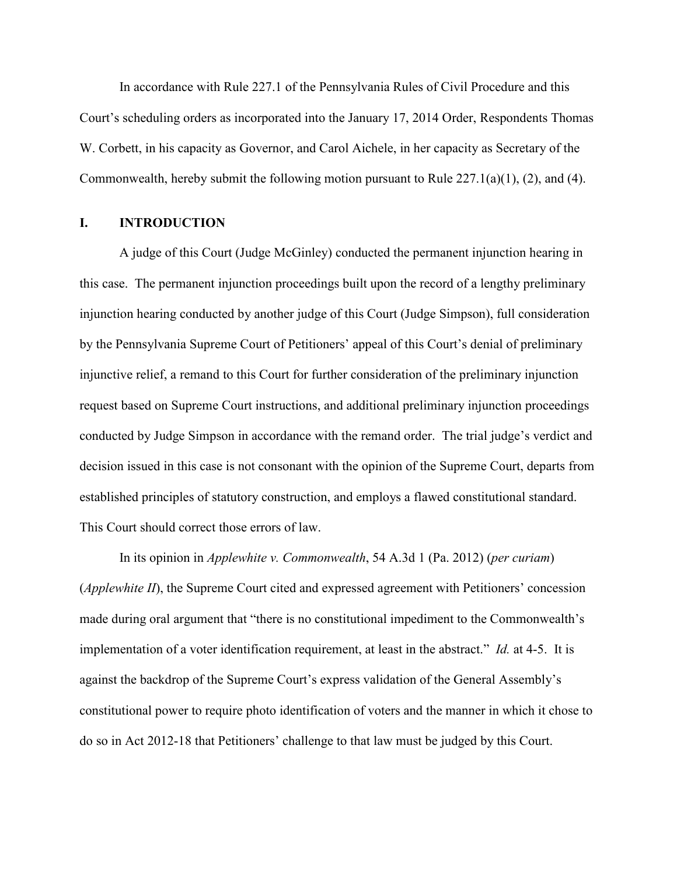In accordance with Rule 227.1 of the Pennsylvania Rules of Civil Procedure and this Court's scheduling orders as incorporated into the January 17, 2014 Order, Respondents Thomas W. Corbett, in his capacity as Governor, and Carol Aichele, in her capacity as Secretary of the Commonwealth, hereby submit the following motion pursuant to Rule  $227.1(a)(1)$ ,  $(2)$ , and  $(4)$ .

#### **I. INTRODUCTION**

A judge of this Court (Judge McGinley) conducted the permanent injunction hearing in this case. The permanent injunction proceedings built upon the record of a lengthy preliminary injunction hearing conducted by another judge of this Court (Judge Simpson), full consideration by the Pennsylvania Supreme Court of Petitioners' appeal of this Court's denial of preliminary injunctive relief, a remand to this Court for further consideration of the preliminary injunction request based on Supreme Court instructions, and additional preliminary injunction proceedings conducted by Judge Simpson in accordance with the remand order. The trial judge's verdict and decision issued in this case is not consonant with the opinion of the Supreme Court, departs from established principles of statutory construction, and employs a flawed constitutional standard. This Court should correct those errors of law.

In its opinion in *Applewhite v. Commonwealth*, 54 A.3d 1 (Pa. 2012) (*per curiam*) (*Applewhite II*), the Supreme Court cited and expressed agreement with Petitioners' concession made during oral argument that "there is no constitutional impediment to the Commonwealth's implementation of a voter identification requirement, at least in the abstract." *Id.* at 4-5. It is against the backdrop of the Supreme Court's express validation of the General Assembly's constitutional power to require photo identification of voters and the manner in which it chose to do so in Act 2012-18 that Petitioners' challenge to that law must be judged by this Court.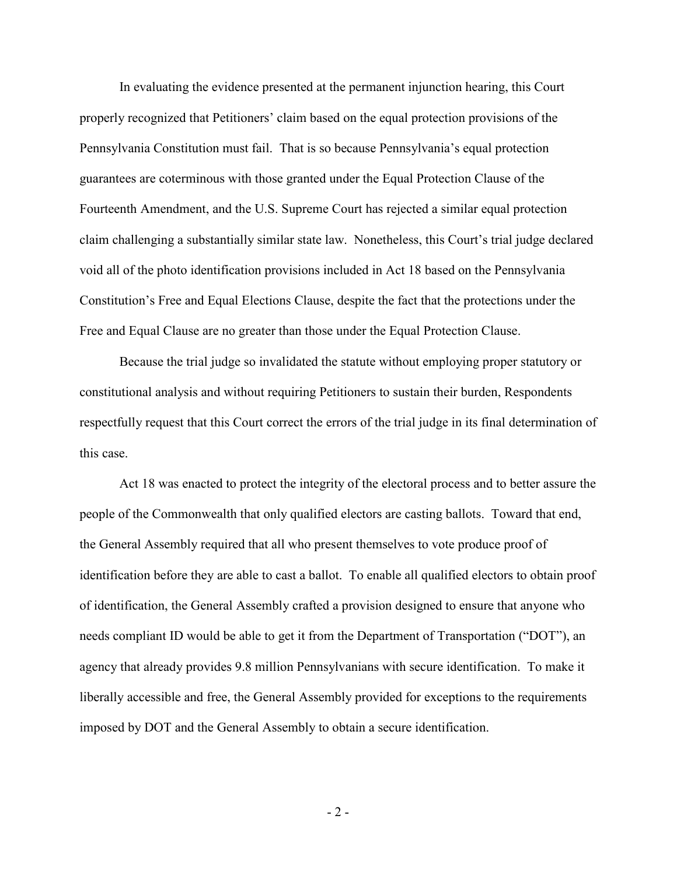In evaluating the evidence presented at the permanent injunction hearing, this Court properly recognized that Petitioners' claim based on the equal protection provisions of the Pennsylvania Constitution must fail. That is so because Pennsylvania's equal protection guarantees are coterminous with those granted under the Equal Protection Clause of the Fourteenth Amendment, and the U.S. Supreme Court has rejected a similar equal protection claim challenging a substantially similar state law. Nonetheless, this Court's trial judge declared void all of the photo identification provisions included in Act 18 based on the Pennsylvania Constitution's Free and Equal Elections Clause, despite the fact that the protections under the Free and Equal Clause are no greater than those under the Equal Protection Clause.

Because the trial judge so invalidated the statute without employing proper statutory or constitutional analysis and without requiring Petitioners to sustain their burden, Respondents respectfully request that this Court correct the errors of the trial judge in its final determination of this case.

Act 18 was enacted to protect the integrity of the electoral process and to better assure the people of the Commonwealth that only qualified electors are casting ballots. Toward that end, the General Assembly required that all who present themselves to vote produce proof of identification before they are able to cast a ballot. To enable all qualified electors to obtain proof of identification, the General Assembly crafted a provision designed to ensure that anyone who needs compliant ID would be able to get it from the Department of Transportation ("DOT"), an agency that already provides 9.8 million Pennsylvanians with secure identification. To make it liberally accessible and free, the General Assembly provided for exceptions to the requirements imposed by DOT and the General Assembly to obtain a secure identification.

- 2 -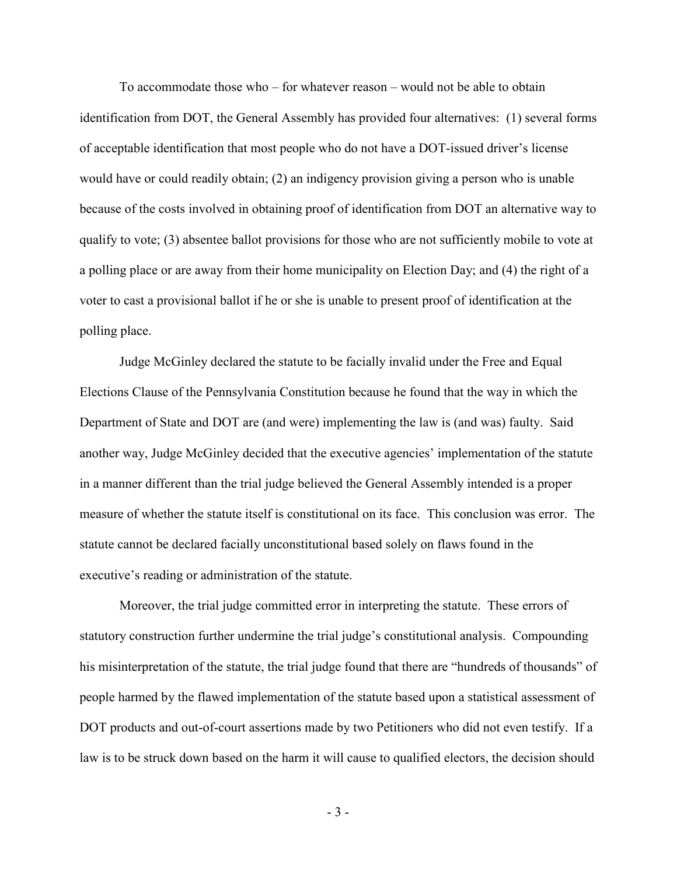To accommodate those who – for whatever reason – would not be able to obtain identification from DOT, the General Assembly has provided four alternatives: (1) several forms of acceptable identification that most people who do not have a DOT-issued driver's license would have or could readily obtain; (2) an indigency provision giving a person who is unable because of the costs involved in obtaining proof of identification from DOT an alternative way to qualify to vote; (3) absentee ballot provisions for those who are not sufficiently mobile to vote at a polling place or are away from their home municipality on Election Day; and (4) the right of a voter to cast a provisional ballot if he or she is unable to present proof of identification at the polling place.

Judge McGinley declared the statute to be facially invalid under the Free and Equal Elections Clause of the Pennsylvania Constitution because he found that the way in which the Department of State and DOT are (and were) implementing the law is (and was) faulty. Said another way, Judge McGinley decided that the executive agencies' implementation of the statute in a manner different than the trial judge believed the General Assembly intended is a proper measure of whether the statute itself is constitutional on its face. This conclusion was error. The statute cannot be declared facially unconstitutional based solely on flaws found in the executive's reading or administration of the statute.

Moreover, the trial judge committed error in interpreting the statute. These errors of statutory construction further undermine the trial judge's constitutional analysis. Compounding his misinterpretation of the statute, the trial judge found that there are "hundreds of thousands" of people harmed by the flawed implementation of the statute based upon a statistical assessment of DOT products and out-of-court assertions made by two Petitioners who did not even testify. If a law is to be struck down based on the harm it will cause to qualified electors, the decision should

- 3 -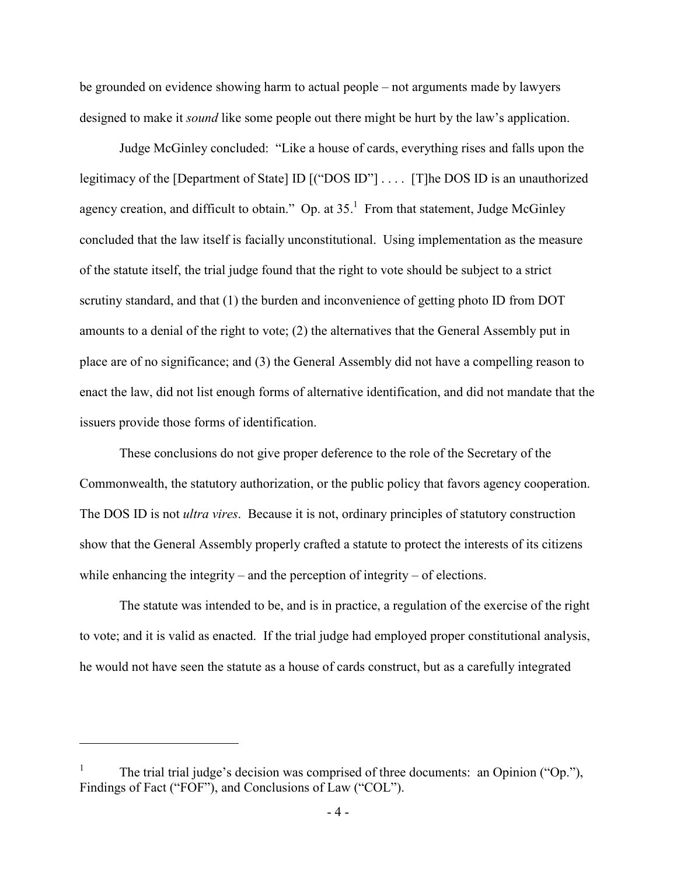be grounded on evidence showing harm to actual people – not arguments made by lawyers designed to make it *sound* like some people out there might be hurt by the law's application.

Judge McGinley concluded: "Like a house of cards, everything rises and falls upon the legitimacy of the [Department of State] ID [("DOS ID"] . . . . [T]he DOS ID is an unauthorized agency creation, and difficult to obtain." Op. at  $35<sup>1</sup>$  From that statement, Judge McGinley concluded that the law itself is facially unconstitutional. Using implementation as the measure of the statute itself, the trial judge found that the right to vote should be subject to a strict scrutiny standard, and that (1) the burden and inconvenience of getting photo ID from DOT amounts to a denial of the right to vote; (2) the alternatives that the General Assembly put in place are of no significance; and (3) the General Assembly did not have a compelling reason to enact the law, did not list enough forms of alternative identification, and did not mandate that the issuers provide those forms of identification.

These conclusions do not give proper deference to the role of the Secretary of the Commonwealth, the statutory authorization, or the public policy that favors agency cooperation. The DOS ID is not *ultra vires*. Because it is not, ordinary principles of statutory construction show that the General Assembly properly crafted a statute to protect the interests of its citizens while enhancing the integrity – and the perception of integrity – of elections.

The statute was intended to be, and is in practice, a regulation of the exercise of the right to vote; and it is valid as enacted. If the trial judge had employed proper constitutional analysis, he would not have seen the statute as a house of cards construct, but as a carefully integrated

-

<sup>1</sup> The trial trial judge's decision was comprised of three documents: an Opinion ("Op."), Findings of Fact ("FOF"), and Conclusions of Law ("COL").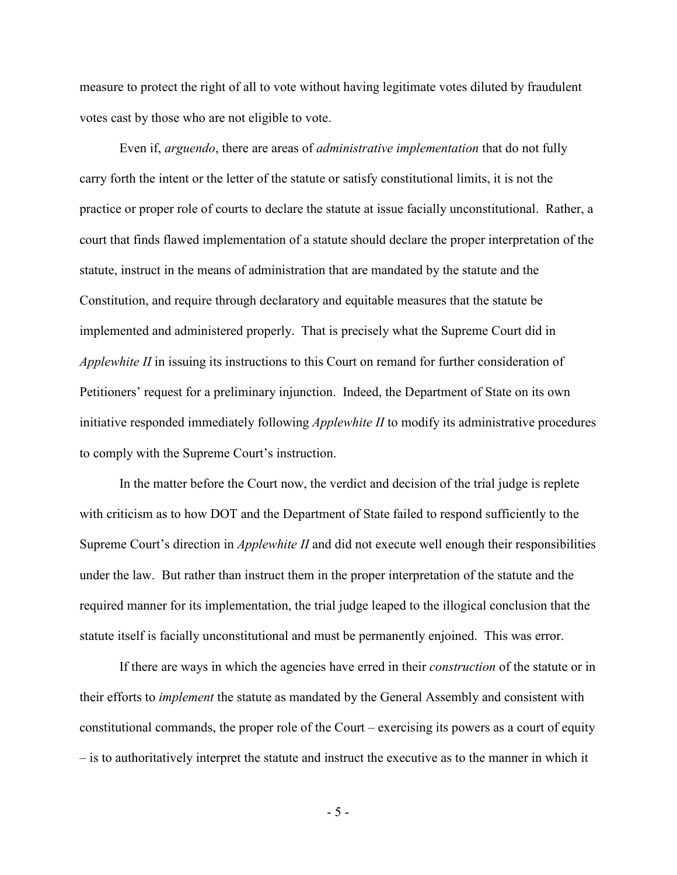measure to protect the right of all to vote without having legitimate votes diluted by fraudulent votes cast by those who are not eligible to vote.

Even if, *arguendo*, there are areas of *administrative implementation* that do not fully carry forth the intent or the letter of the statute or satisfy constitutional limits, it is not the practice or proper role of courts to declare the statute at issue facially unconstitutional. Rather, a court that finds flawed implementation of a statute should declare the proper interpretation of the statute, instruct in the means of administration that are mandated by the statute and the Constitution, and require through declaratory and equitable measures that the statute be implemented and administered properly. That is precisely what the Supreme Court did in *Applewhite II* in issuing its instructions to this Court on remand for further consideration of Petitioners' request for a preliminary injunction. Indeed, the Department of State on its own initiative responded immediately following *Applewhite II* to modify its administrative procedures to comply with the Supreme Court's instruction.

In the matter before the Court now, the verdict and decision of the trial judge is replete with criticism as to how DOT and the Department of State failed to respond sufficiently to the Supreme Court's direction in *Applewhite II* and did not execute well enough their responsibilities under the law. But rather than instruct them in the proper interpretation of the statute and the required manner for its implementation, the trial judge leaped to the illogical conclusion that the statute itself is facially unconstitutional and must be permanently enjoined. This was error.

If there are ways in which the agencies have erred in their *construction* of the statute or in their efforts to *implement* the statute as mandated by the General Assembly and consistent with constitutional commands, the proper role of the Court – exercising its powers as a court of equity – is to authoritatively interpret the statute and instruct the executive as to the manner in which it

- 5 -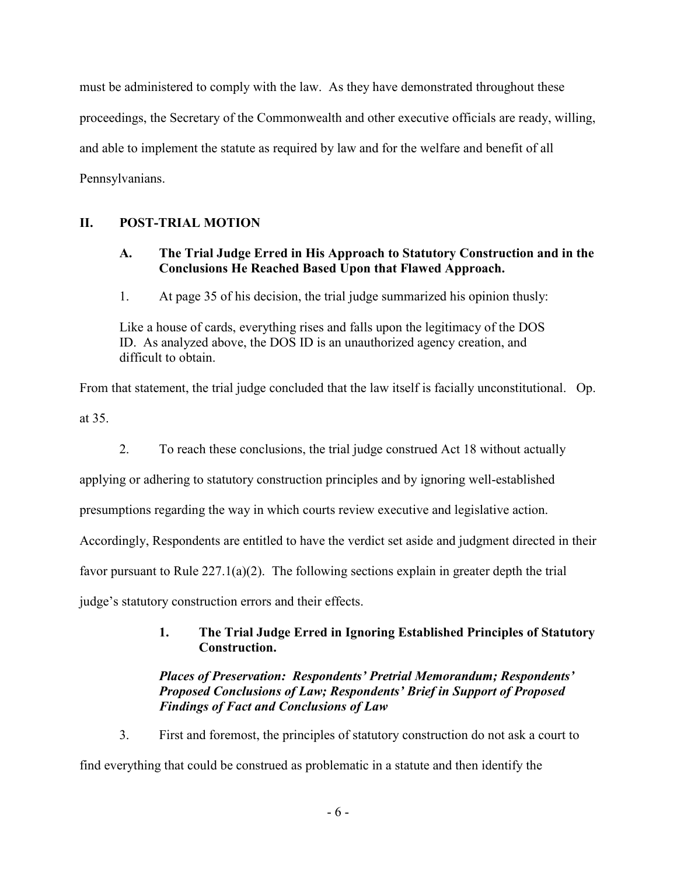must be administered to comply with the law. As they have demonstrated throughout these proceedings, the Secretary of the Commonwealth and other executive officials are ready, willing, and able to implement the statute as required by law and for the welfare and benefit of all Pennsylvanians.

# **II. POST-TRIAL MOTION**

## **A. The Trial Judge Erred in His Approach to Statutory Construction and in the Conclusions He Reached Based Upon that Flawed Approach.**

1. At page 35 of his decision, the trial judge summarized his opinion thusly:

Like a house of cards, everything rises and falls upon the legitimacy of the DOS ID. As analyzed above, the DOS ID is an unauthorized agency creation, and difficult to obtain.

From that statement, the trial judge concluded that the law itself is facially unconstitutional. Op. at 35.

2. To reach these conclusions, the trial judge construed Act 18 without actually

applying or adhering to statutory construction principles and by ignoring well-established

presumptions regarding the way in which courts review executive and legislative action.

Accordingly, Respondents are entitled to have the verdict set aside and judgment directed in their

favor pursuant to Rule 227.1(a)(2). The following sections explain in greater depth the trial

judge's statutory construction errors and their effects.

# **1. The Trial Judge Erred in Ignoring Established Principles of Statutory Construction.**

# *Places of Preservation: Respondents' Pretrial Memorandum; Respondents' Proposed Conclusions of Law; Respondents' Brief in Support of Proposed Findings of Fact and Conclusions of Law*

3. First and foremost, the principles of statutory construction do not ask a court to find everything that could be construed as problematic in a statute and then identify the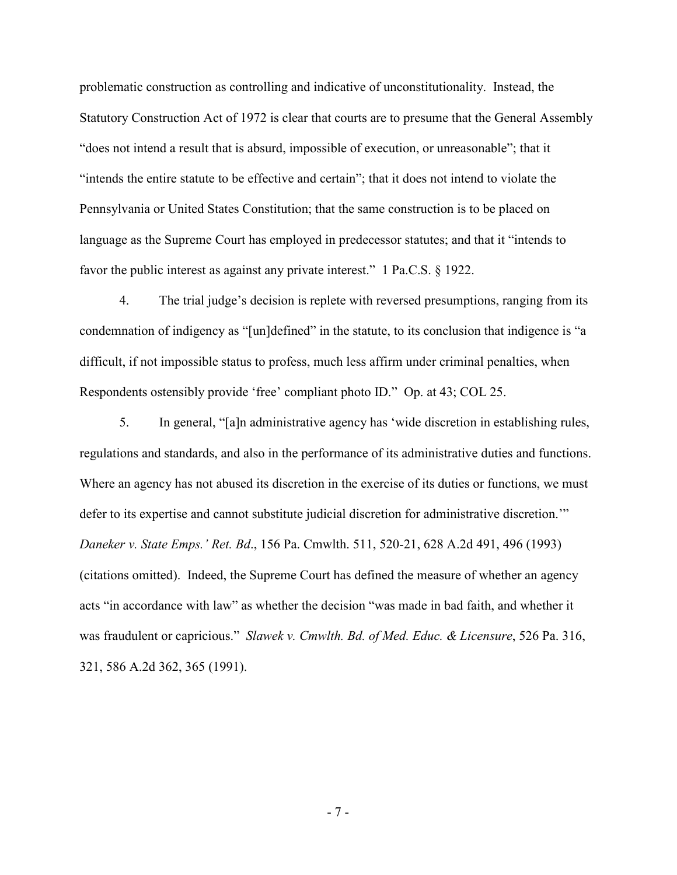problematic construction as controlling and indicative of unconstitutionality. Instead, the Statutory Construction Act of 1972 is clear that courts are to presume that the General Assembly "does not intend a result that is absurd, impossible of execution, or unreasonable"; that it "intends the entire statute to be effective and certain"; that it does not intend to violate the Pennsylvania or United States Constitution; that the same construction is to be placed on language as the Supreme Court has employed in predecessor statutes; and that it "intends to favor the public interest as against any private interest." 1 Pa.C.S. § 1922.

4. The trial judge's decision is replete with reversed presumptions, ranging from its condemnation of indigency as "[un]defined" in the statute, to its conclusion that indigence is "a difficult, if not impossible status to profess, much less affirm under criminal penalties, when Respondents ostensibly provide 'free' compliant photo ID." Op. at 43; COL 25.

5. In general, "[a]n administrative agency has 'wide discretion in establishing rules, regulations and standards, and also in the performance of its administrative duties and functions. Where an agency has not abused its discretion in the exercise of its duties or functions, we must defer to its expertise and cannot substitute judicial discretion for administrative discretion.'" *Daneker v. State Emps.' Ret. Bd*., 156 Pa. Cmwlth. 511, 520-21, 628 A.2d 491, 496 (1993) (citations omitted). Indeed, the Supreme Court has defined the measure of whether an agency acts "in accordance with law" as whether the decision "was made in bad faith, and whether it was fraudulent or capricious." *Slawek v. Cmwlth. Bd. of Med. Educ. & Licensure*, 526 Pa. 316, 321, 586 A.2d 362, 365 (1991).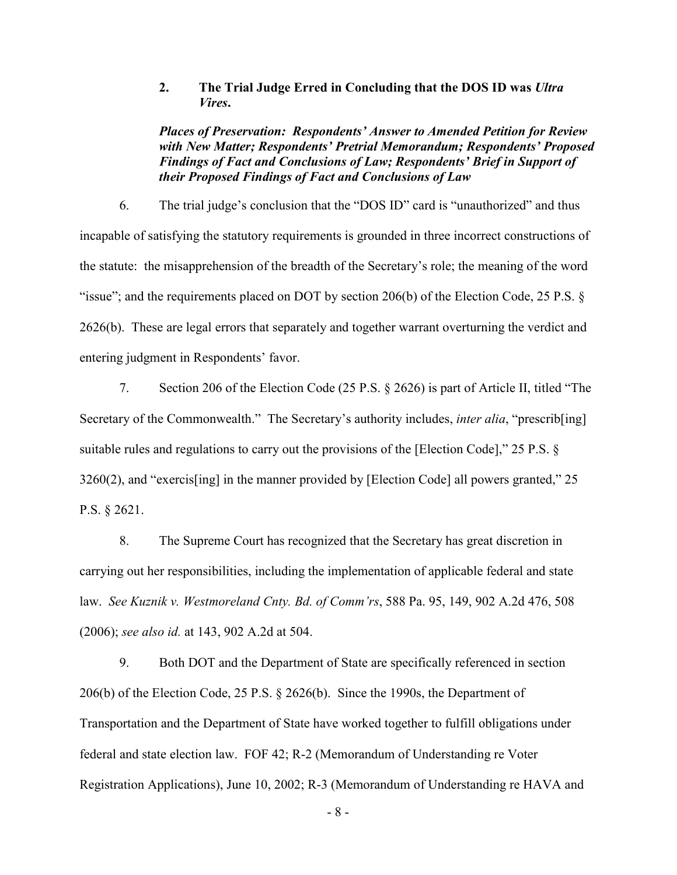**2. The Trial Judge Erred in Concluding that the DOS ID was** *Ultra Vires***.** 

*Places of Preservation: Respondents' Answer to Amended Petition for Review with New Matter; Respondents' Pretrial Memorandum; Respondents' Proposed Findings of Fact and Conclusions of Law; Respondents' Brief in Support of their Proposed Findings of Fact and Conclusions of Law*

6. The trial judge's conclusion that the "DOS ID" card is "unauthorized" and thus incapable of satisfying the statutory requirements is grounded in three incorrect constructions of the statute: the misapprehension of the breadth of the Secretary's role; the meaning of the word "issue"; and the requirements placed on DOT by section 206(b) of the Election Code, 25 P.S.  $\S$ 2626(b). These are legal errors that separately and together warrant overturning the verdict and entering judgment in Respondents' favor.

7. Section 206 of the Election Code (25 P.S. § 2626) is part of Article II, titled "The Secretary of the Commonwealth." The Secretary's authority includes, *inter alia*, "prescrib[ing] suitable rules and regulations to carry out the provisions of the [Election Code]," 25 P.S. § 3260(2), and "exercis[ing] in the manner provided by [Election Code] all powers granted," 25 P.S. § 2621.

8. The Supreme Court has recognized that the Secretary has great discretion in carrying out her responsibilities, including the implementation of applicable federal and state law. *See Kuznik v. Westmoreland Cnty. Bd. of Comm'rs*, 588 Pa. 95, 149, 902 A.2d 476, 508 (2006); *see also id.* at 143, 902 A.2d at 504.

9. Both DOT and the Department of State are specifically referenced in section 206(b) of the Election Code, 25 P.S. § 2626(b). Since the 1990s, the Department of Transportation and the Department of State have worked together to fulfill obligations under federal and state election law. FOF 42; R-2 (Memorandum of Understanding re Voter Registration Applications), June 10, 2002; R-3 (Memorandum of Understanding re HAVA and

- 8 -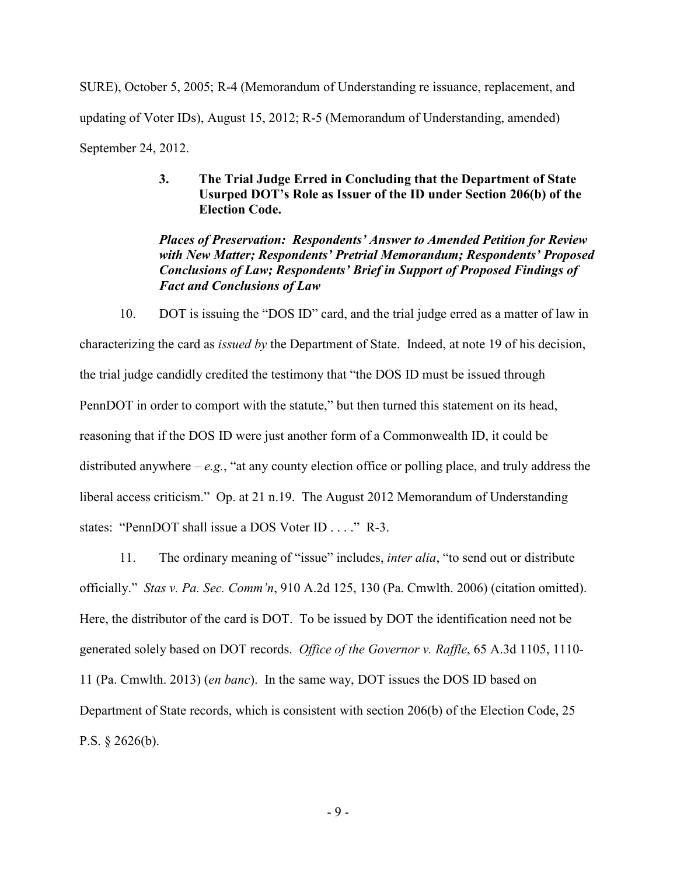SURE), October 5, 2005; R-4 (Memorandum of Understanding re issuance, replacement, and updating of Voter IDs), August 15, 2012; R-5 (Memorandum of Understanding, amended) September 24, 2012.

## **3. The Trial Judge Erred in Concluding that the Department of State Usurped DOT's Role as Issuer of the ID under Section 206(b) of the Election Code.**

## *Places of Preservation: Respondents' Answer to Amended Petition for Review with New Matter; Respondents' Pretrial Memorandum; Respondents' Proposed Conclusions of Law; Respondents' Brief in Support of Proposed Findings of Fact and Conclusions of Law*

10. DOT is issuing the "DOS ID" card, and the trial judge erred as a matter of law in characterizing the card as *issued by* the Department of State. Indeed, at note 19 of his decision, the trial judge candidly credited the testimony that "the DOS ID must be issued through PennDOT in order to comport with the statute," but then turned this statement on its head, reasoning that if the DOS ID were just another form of a Commonwealth ID, it could be distributed anywhere – *e.g.*, "at any county election office or polling place, and truly address the liberal access criticism." Op. at 21 n.19. The August 2012 Memorandum of Understanding states: "PennDOT shall issue a DOS Voter ID . . . ." R-3.

11. The ordinary meaning of "issue" includes, *inter alia*, "to send out or distribute officially." *Stas v. Pa. Sec. Comm'n*, 910 A.2d 125, 130 (Pa. Cmwlth. 2006) (citation omitted). Here, the distributor of the card is DOT. To be issued by DOT the identification need not be generated solely based on DOT records. *Office of the Governor v. Raffle*, 65 A.3d 1105, 1110- 11 (Pa. Cmwlth. 2013) (*en banc*). In the same way, DOT issues the DOS ID based on Department of State records, which is consistent with section 206(b) of the Election Code, 25 P.S. § 2626(b).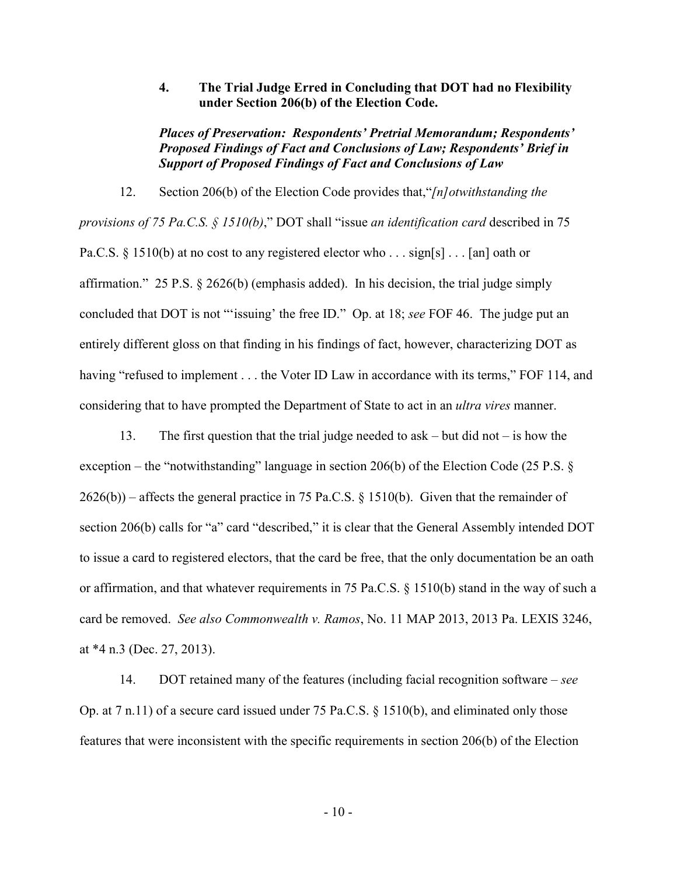**4. The Trial Judge Erred in Concluding that DOT had no Flexibility under Section 206(b) of the Election Code.** 

*Places of Preservation: Respondents' Pretrial Memorandum; Respondents' Proposed Findings of Fact and Conclusions of Law; Respondents' Brief in Support of Proposed Findings of Fact and Conclusions of Law*

12. Section 206(b) of the Election Code provides that,"*[n]otwithstanding the provisions of 75 Pa.C.S. § 1510(b)*," DOT shall "issue *an identification card* described in 75 Pa.C.S. § 1510(b) at no cost to any registered elector who . . . sign[s] . . . [an] oath or affirmation." 25 P.S. § 2626(b) (emphasis added). In his decision, the trial judge simply concluded that DOT is not "'issuing' the free ID." Op. at 18; *see* FOF 46. The judge put an entirely different gloss on that finding in his findings of fact, however, characterizing DOT as having "refused to implement . . . the Voter ID Law in accordance with its terms," FOF 114, and considering that to have prompted the Department of State to act in an *ultra vires* manner.

13. The first question that the trial judge needed to ask – but did not – is how the exception – the "notwithstanding" language in section 206(b) of the Election Code (25 P.S. § 2626(b)) – affects the general practice in 75 Pa.C.S. § 1510(b). Given that the remainder of section 206(b) calls for "a" card "described," it is clear that the General Assembly intended DOT to issue a card to registered electors, that the card be free, that the only documentation be an oath or affirmation, and that whatever requirements in 75 Pa.C.S. § 1510(b) stand in the way of such a card be removed. *See also Commonwealth v. Ramos*, No. 11 MAP 2013, 2013 Pa. LEXIS 3246, at \*4 n.3 (Dec. 27, 2013).

14. DOT retained many of the features (including facial recognition software – *see*  Op. at 7 n.11) of a secure card issued under 75 Pa.C.S. § 1510(b), and eliminated only those features that were inconsistent with the specific requirements in section 206(b) of the Election

- 10 -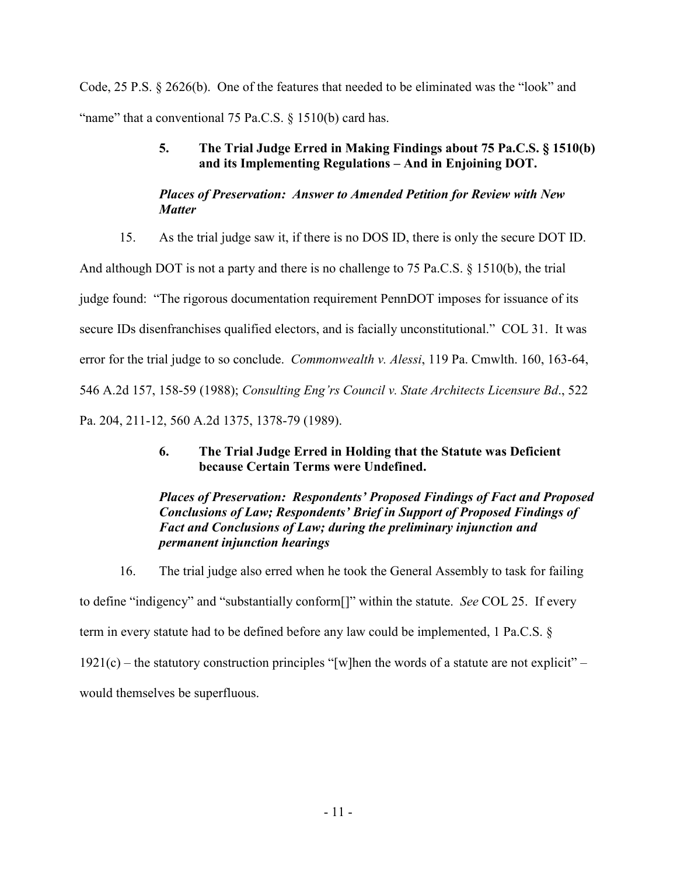Code, 25 P.S. § 2626(b). One of the features that needed to be eliminated was the "look" and "name" that a conventional  $75$  Pa.C.S.  $\S$  1510(b) card has.

# **5. The Trial Judge Erred in Making Findings about 75 Pa.C.S. § 1510(b) and its Implementing Regulations – And in Enjoining DOT.**

# *Places of Preservation: Answer to Amended Petition for Review with New Matter*

15. As the trial judge saw it, if there is no DOS ID, there is only the secure DOT ID.

And although DOT is not a party and there is no challenge to 75 Pa.C.S.  $\S$  1510(b), the trial judge found: "The rigorous documentation requirement PennDOT imposes for issuance of its secure IDs disenfranchises qualified electors, and is facially unconstitutional." COL 31. It was error for the trial judge to so conclude. *Commonwealth v. Alessi*, 119 Pa. Cmwlth. 160, 163-64, 546 A.2d 157, 158-59 (1988); *Consulting Eng'rs Council v. State Architects Licensure Bd*., 522 Pa. 204, 211-12, 560 A.2d 1375, 1378-79 (1989).

# **6. The Trial Judge Erred in Holding that the Statute was Deficient because Certain Terms were Undefined.**

## *Places of Preservation: Respondents' Proposed Findings of Fact and Proposed Conclusions of Law; Respondents' Brief in Support of Proposed Findings of Fact and Conclusions of Law; during the preliminary injunction and permanent injunction hearings*

16. The trial judge also erred when he took the General Assembly to task for failing to define "indigency" and "substantially conform[]" within the statute. *See* COL 25. If every term in every statute had to be defined before any law could be implemented, 1 Pa.C.S. §  $1921(c)$  – the statutory construction principles "[w]hen the words of a statute are not explicit" – would themselves be superfluous.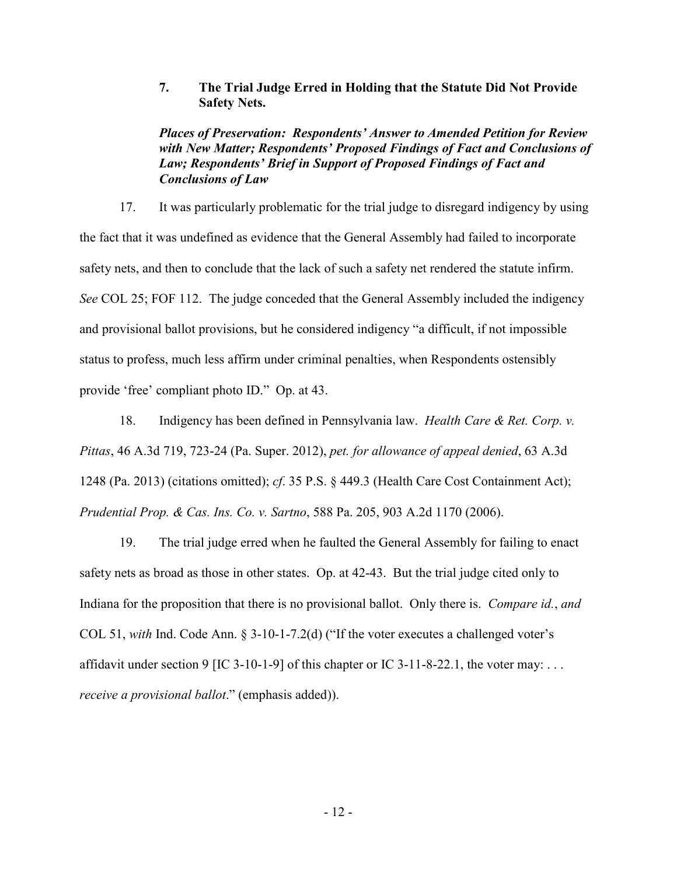**7. The Trial Judge Erred in Holding that the Statute Did Not Provide Safety Nets.** 

*Places of Preservation: Respondents' Answer to Amended Petition for Review with New Matter; Respondents' Proposed Findings of Fact and Conclusions of Law; Respondents' Brief in Support of Proposed Findings of Fact and Conclusions of Law*

17. It was particularly problematic for the trial judge to disregard indigency by using the fact that it was undefined as evidence that the General Assembly had failed to incorporate safety nets, and then to conclude that the lack of such a safety net rendered the statute infirm. *See* COL 25; FOF 112. The judge conceded that the General Assembly included the indigency and provisional ballot provisions, but he considered indigency "a difficult, if not impossible status to profess, much less affirm under criminal penalties, when Respondents ostensibly provide 'free' compliant photo ID." Op. at 43.

18. Indigency has been defined in Pennsylvania law. *Health Care & Ret. Corp. v. Pittas*, 46 A.3d 719, 723-24 (Pa. Super. 2012), *pet. for allowance of appeal denied*, 63 A.3d 1248 (Pa. 2013) (citations omitted); *cf*. 35 P.S. § 449.3 (Health Care Cost Containment Act); *Prudential Prop. & Cas. Ins. Co. v. Sartno*, 588 Pa. 205, 903 A.2d 1170 (2006).

19. The trial judge erred when he faulted the General Assembly for failing to enact safety nets as broad as those in other states. Op. at 42-43. But the trial judge cited only to Indiana for the proposition that there is no provisional ballot. Only there is. *Compare id.*, *and* COL 51, *with* Ind. Code Ann. § 3-10-1-7.2(d) ("If the voter executes a challenged voter's affidavit under section 9 [IC 3-10-1-9] of this chapter or IC 3-11-8-22.1, the voter may: ... *receive a provisional ballot*." (emphasis added)).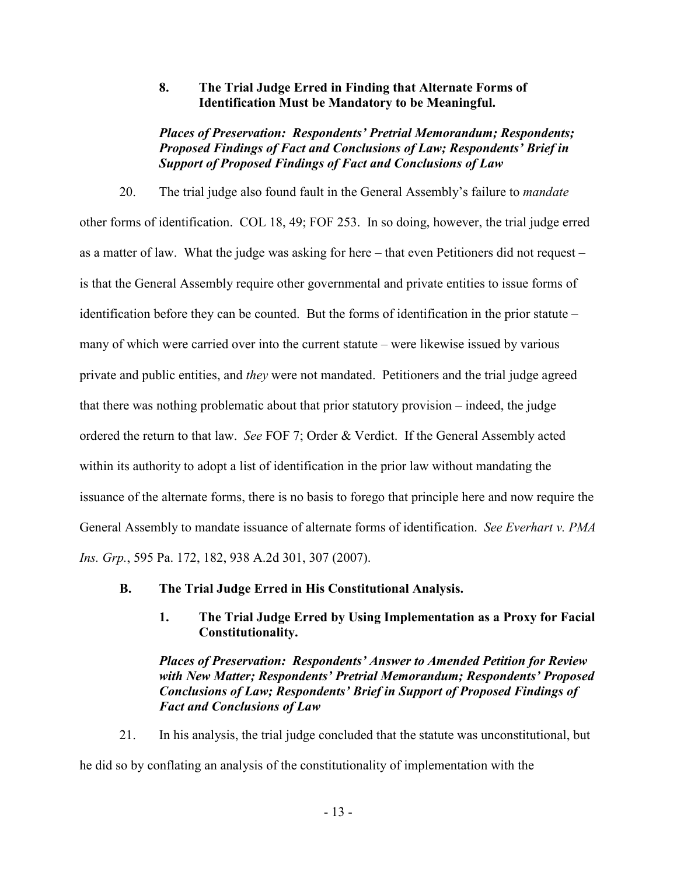### **8. The Trial Judge Erred in Finding that Alternate Forms of Identification Must be Mandatory to be Meaningful.**

*Places of Preservation: Respondents' Pretrial Memorandum; Respondents; Proposed Findings of Fact and Conclusions of Law; Respondents' Brief in Support of Proposed Findings of Fact and Conclusions of Law*

20. The trial judge also found fault in the General Assembly's failure to *mandate* other forms of identification. COL 18, 49; FOF 253. In so doing, however, the trial judge erred as a matter of law. What the judge was asking for here – that even Petitioners did not request – is that the General Assembly require other governmental and private entities to issue forms of identification before they can be counted. But the forms of identification in the prior statute – many of which were carried over into the current statute – were likewise issued by various private and public entities, and *they* were not mandated. Petitioners and the trial judge agreed that there was nothing problematic about that prior statutory provision – indeed, the judge ordered the return to that law. *See* FOF 7; Order & Verdict. If the General Assembly acted within its authority to adopt a list of identification in the prior law without mandating the issuance of the alternate forms, there is no basis to forego that principle here and now require the General Assembly to mandate issuance of alternate forms of identification. *See Everhart v. PMA Ins. Grp.*, 595 Pa. 172, 182, 938 A.2d 301, 307 (2007).

- **B. The Trial Judge Erred in His Constitutional Analysis.** 
	- **1. The Trial Judge Erred by Using Implementation as a Proxy for Facial Constitutionality.**

*Places of Preservation: Respondents' Answer to Amended Petition for Review with New Matter; Respondents' Pretrial Memorandum; Respondents' Proposed Conclusions of Law; Respondents' Brief in Support of Proposed Findings of Fact and Conclusions of Law*

21. In his analysis, the trial judge concluded that the statute was unconstitutional, but he did so by conflating an analysis of the constitutionality of implementation with the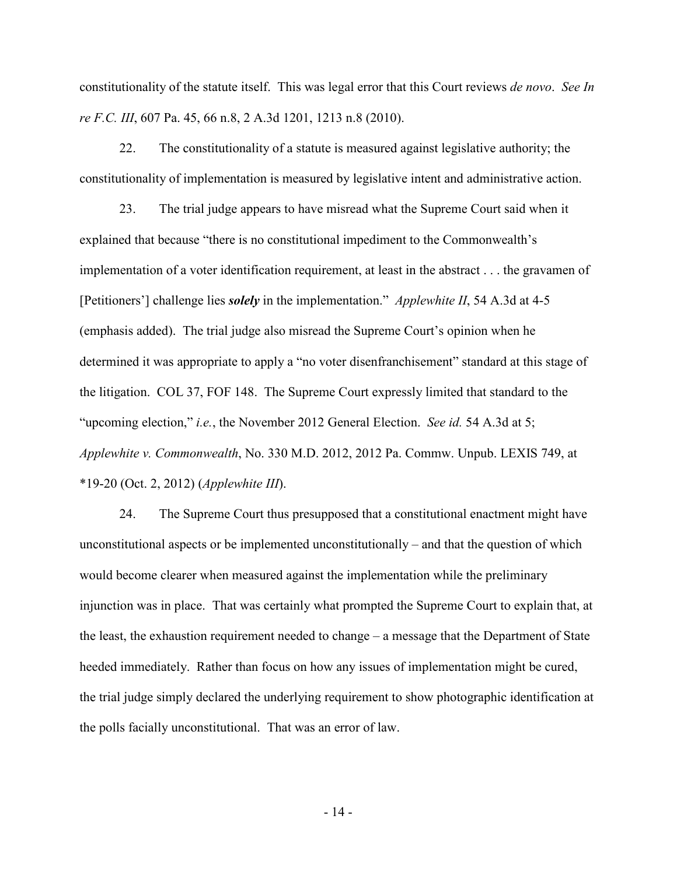constitutionality of the statute itself. This was legal error that this Court reviews *de novo*. *See In re F.C. III*, 607 Pa. 45, 66 n.8, 2 A.3d 1201, 1213 n.8 (2010).

22. The constitutionality of a statute is measured against legislative authority; the constitutionality of implementation is measured by legislative intent and administrative action.

23. The trial judge appears to have misread what the Supreme Court said when it explained that because "there is no constitutional impediment to the Commonwealth's implementation of a voter identification requirement, at least in the abstract . . . the gravamen of [Petitioners'] challenge lies *solely* in the implementation." *Applewhite II*, 54 A.3d at 4-5 (emphasis added). The trial judge also misread the Supreme Court's opinion when he determined it was appropriate to apply a "no voter disenfranchisement" standard at this stage of the litigation. COL 37, FOF 148. The Supreme Court expressly limited that standard to the "upcoming election," *i.e.*, the November 2012 General Election. *See id.* 54 A.3d at 5; *Applewhite v. Commonwealth*, No. 330 M.D. 2012, 2012 Pa. Commw. Unpub. LEXIS 749, at \*19-20 (Oct. 2, 2012) (*Applewhite III*).

24. The Supreme Court thus presupposed that a constitutional enactment might have unconstitutional aspects or be implemented unconstitutionally – and that the question of which would become clearer when measured against the implementation while the preliminary injunction was in place. That was certainly what prompted the Supreme Court to explain that, at the least, the exhaustion requirement needed to change – a message that the Department of State heeded immediately. Rather than focus on how any issues of implementation might be cured, the trial judge simply declared the underlying requirement to show photographic identification at the polls facially unconstitutional. That was an error of law.

- 14 -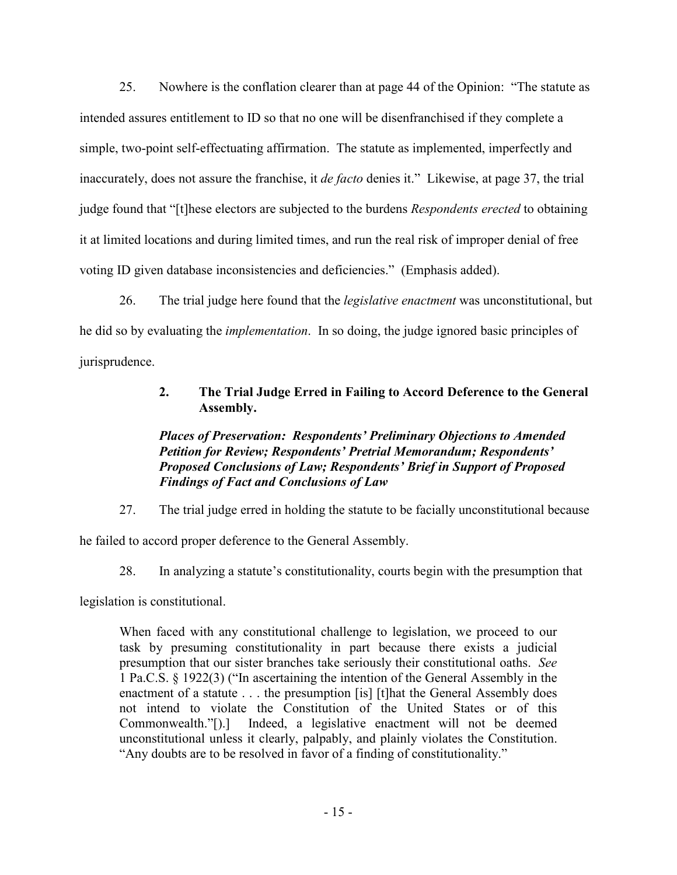25. Nowhere is the conflation clearer than at page 44 of the Opinion: "The statute as intended assures entitlement to ID so that no one will be disenfranchised if they complete a simple, two-point self-effectuating affirmation. The statute as implemented, imperfectly and inaccurately, does not assure the franchise, it *de facto* denies it." Likewise, at page 37, the trial judge found that "[t]hese electors are subjected to the burdens *Respondents erected* to obtaining it at limited locations and during limited times, and run the real risk of improper denial of free voting ID given database inconsistencies and deficiencies." (Emphasis added).

26. The trial judge here found that the *legislative enactment* was unconstitutional, but he did so by evaluating the *implementation*. In so doing, the judge ignored basic principles of jurisprudence.

# **2. The Trial Judge Erred in Failing to Accord Deference to the General Assembly.**

## *Places of Preservation: Respondents' Preliminary Objections to Amended Petition for Review; Respondents' Pretrial Memorandum; Respondents' Proposed Conclusions of Law; Respondents' Brief in Support of Proposed Findings of Fact and Conclusions of Law*

27. The trial judge erred in holding the statute to be facially unconstitutional because

he failed to accord proper deference to the General Assembly.

28. In analyzing a statute's constitutionality, courts begin with the presumption that

legislation is constitutional.

When faced with any constitutional challenge to legislation, we proceed to our task by presuming constitutionality in part because there exists a judicial presumption that our sister branches take seriously their constitutional oaths. *See*  1 Pa.C.S. § 1922(3) ("In ascertaining the intention of the General Assembly in the enactment of a statute . . . the presumption [is] [t]hat the General Assembly does not intend to violate the Constitution of the United States or of this Commonwealth."[).] Indeed, a legislative enactment will not be deemed unconstitutional unless it clearly, palpably, and plainly violates the Constitution. "Any doubts are to be resolved in favor of a finding of constitutionality."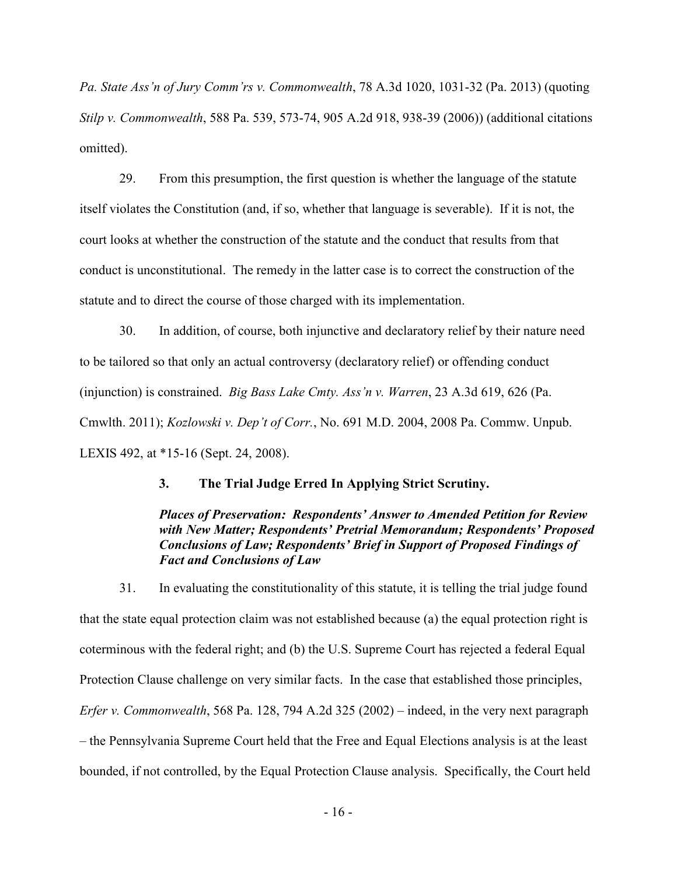*Pa. State Ass'n of Jury Comm'rs v. Commonwealth*, 78 A.3d 1020, 1031-32 (Pa. 2013) (quoting *Stilp v. Commonwealth*, 588 Pa. 539, 573-74, 905 A.2d 918, 938-39 (2006)) (additional citations omitted).

29. From this presumption, the first question is whether the language of the statute itself violates the Constitution (and, if so, whether that language is severable). If it is not, the court looks at whether the construction of the statute and the conduct that results from that conduct is unconstitutional. The remedy in the latter case is to correct the construction of the statute and to direct the course of those charged with its implementation.

30. In addition, of course, both injunctive and declaratory relief by their nature need to be tailored so that only an actual controversy (declaratory relief) or offending conduct (injunction) is constrained. *Big Bass Lake Cmty. Ass'n v. Warren*, 23 A.3d 619, 626 (Pa. Cmwlth. 2011); *Kozlowski v. Dep't of Corr.*, No. 691 M.D. 2004, 2008 Pa. Commw. Unpub. LEXIS 492, at \*15-16 (Sept. 24, 2008).

#### **3. The Trial Judge Erred In Applying Strict Scrutiny.**

## *Places of Preservation: Respondents' Answer to Amended Petition for Review with New Matter; Respondents' Pretrial Memorandum; Respondents' Proposed Conclusions of Law; Respondents' Brief in Support of Proposed Findings of Fact and Conclusions of Law*

31. In evaluating the constitutionality of this statute, it is telling the trial judge found that the state equal protection claim was not established because (a) the equal protection right is coterminous with the federal right; and (b) the U.S. Supreme Court has rejected a federal Equal Protection Clause challenge on very similar facts. In the case that established those principles, *Erfer v. Commonwealth*, 568 Pa. 128, 794 A.2d 325 (2002) – indeed, in the very next paragraph – the Pennsylvania Supreme Court held that the Free and Equal Elections analysis is at the least bounded, if not controlled, by the Equal Protection Clause analysis. Specifically, the Court held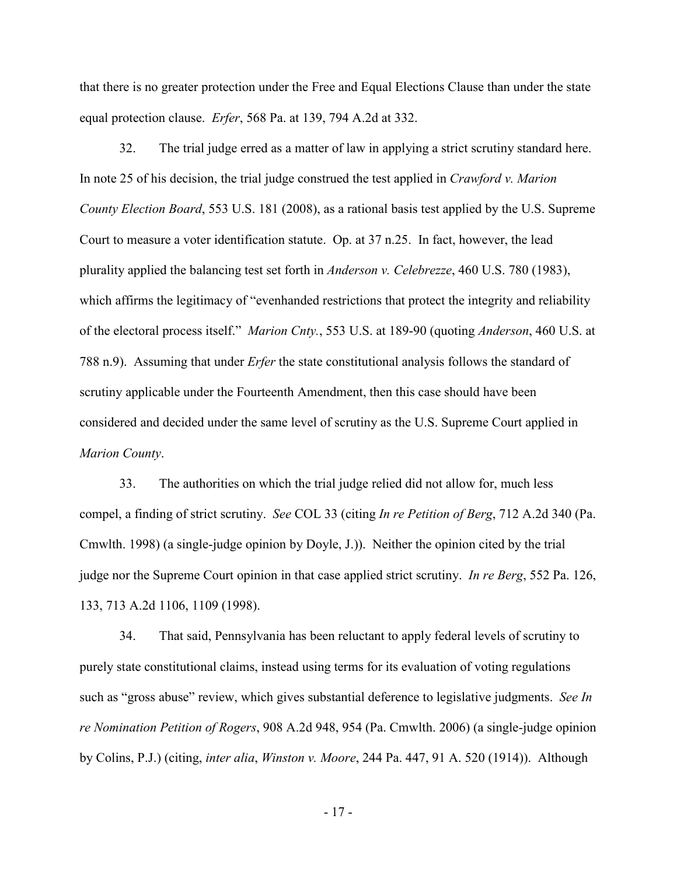that there is no greater protection under the Free and Equal Elections Clause than under the state equal protection clause. *Erfer*, 568 Pa. at 139, 794 A.2d at 332.

32. The trial judge erred as a matter of law in applying a strict scrutiny standard here. In note 25 of his decision, the trial judge construed the test applied in *Crawford v. Marion County Election Board*, 553 U.S. 181 (2008), as a rational basis test applied by the U.S. Supreme Court to measure a voter identification statute. Op. at 37 n.25. In fact, however, the lead plurality applied the balancing test set forth in *Anderson v. Celebrezze*, 460 U.S. 780 (1983), which affirms the legitimacy of "evenhanded restrictions that protect the integrity and reliability of the electoral process itself." *Marion Cnty.*, 553 U.S. at 189-90 (quoting *Anderson*, 460 U.S. at 788 n.9). Assuming that under *Erfer* the state constitutional analysis follows the standard of scrutiny applicable under the Fourteenth Amendment, then this case should have been considered and decided under the same level of scrutiny as the U.S. Supreme Court applied in *Marion County*.

33. The authorities on which the trial judge relied did not allow for, much less compel, a finding of strict scrutiny. *See* COL 33 (citing *In re Petition of Berg*, 712 A.2d 340 (Pa. Cmwlth. 1998) (a single-judge opinion by Doyle, J.)). Neither the opinion cited by the trial judge nor the Supreme Court opinion in that case applied strict scrutiny. *In re Berg*, 552 Pa. 126, 133, 713 A.2d 1106, 1109 (1998).

34. That said, Pennsylvania has been reluctant to apply federal levels of scrutiny to purely state constitutional claims, instead using terms for its evaluation of voting regulations such as "gross abuse" review, which gives substantial deference to legislative judgments. *See In re Nomination Petition of Rogers*, 908 A.2d 948, 954 (Pa. Cmwlth. 2006) (a single-judge opinion by Colins, P.J.) (citing, *inter alia*, *Winston v. Moore*, 244 Pa. 447, 91 A. 520 (1914)). Although

- 17 -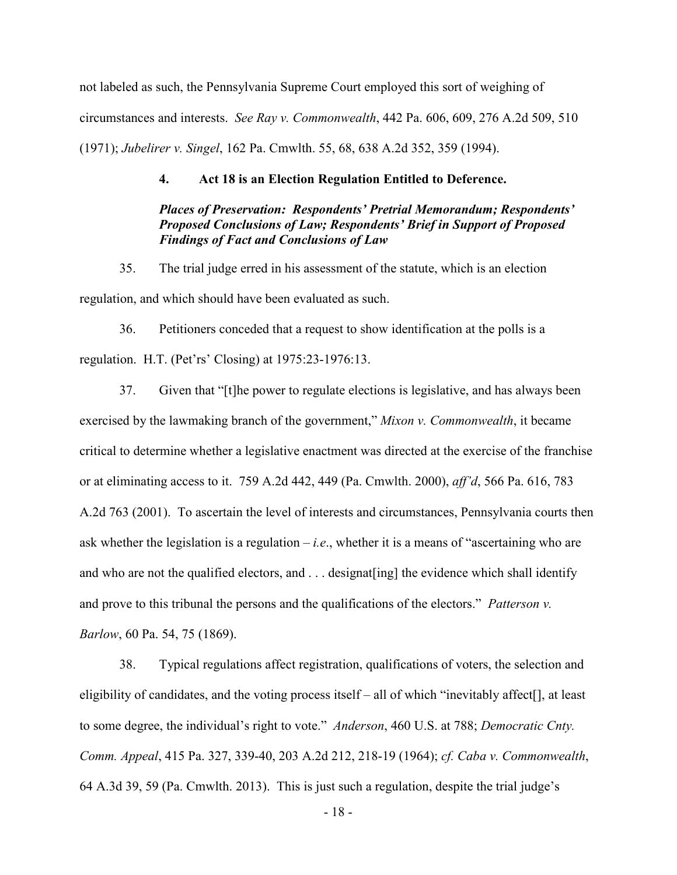not labeled as such, the Pennsylvania Supreme Court employed this sort of weighing of circumstances and interests. *See Ray v. Commonwealth*, 442 Pa. 606, 609, 276 A.2d 509, 510 (1971); *Jubelirer v. Singel*, 162 Pa. Cmwlth. 55, 68, 638 A.2d 352, 359 (1994).

#### **4. Act 18 is an Election Regulation Entitled to Deference.**

## *Places of Preservation: Respondents' Pretrial Memorandum; Respondents' Proposed Conclusions of Law; Respondents' Brief in Support of Proposed Findings of Fact and Conclusions of Law*

35. The trial judge erred in his assessment of the statute, which is an election regulation, and which should have been evaluated as such.

36. Petitioners conceded that a request to show identification at the polls is a regulation. H.T. (Pet'rs' Closing) at 1975:23-1976:13.

37. Given that "[t]he power to regulate elections is legislative, and has always been exercised by the lawmaking branch of the government," *Mixon v. Commonwealth*, it became critical to determine whether a legislative enactment was directed at the exercise of the franchise or at eliminating access to it. 759 A.2d 442, 449 (Pa. Cmwlth. 2000), *aff'd*, 566 Pa. 616, 783 A.2d 763 (2001). To ascertain the level of interests and circumstances, Pennsylvania courts then ask whether the legislation is a regulation – *i.e*., whether it is a means of "ascertaining who are and who are not the qualified electors, and . . . designat[ing] the evidence which shall identify and prove to this tribunal the persons and the qualifications of the electors." *Patterson v. Barlow*, 60 Pa. 54, 75 (1869).

38. Typical regulations affect registration, qualifications of voters, the selection and eligibility of candidates, and the voting process itself – all of which "inevitably affect[], at least to some degree, the individual's right to vote." *Anderson*, 460 U.S. at 788; *Democratic Cnty. Comm. Appeal*, 415 Pa. 327, 339-40, 203 A.2d 212, 218-19 (1964); *cf. Caba v. Commonwealth*, 64 A.3d 39, 59 (Pa. Cmwlth. 2013). This is just such a regulation, despite the trial judge's

- 18 -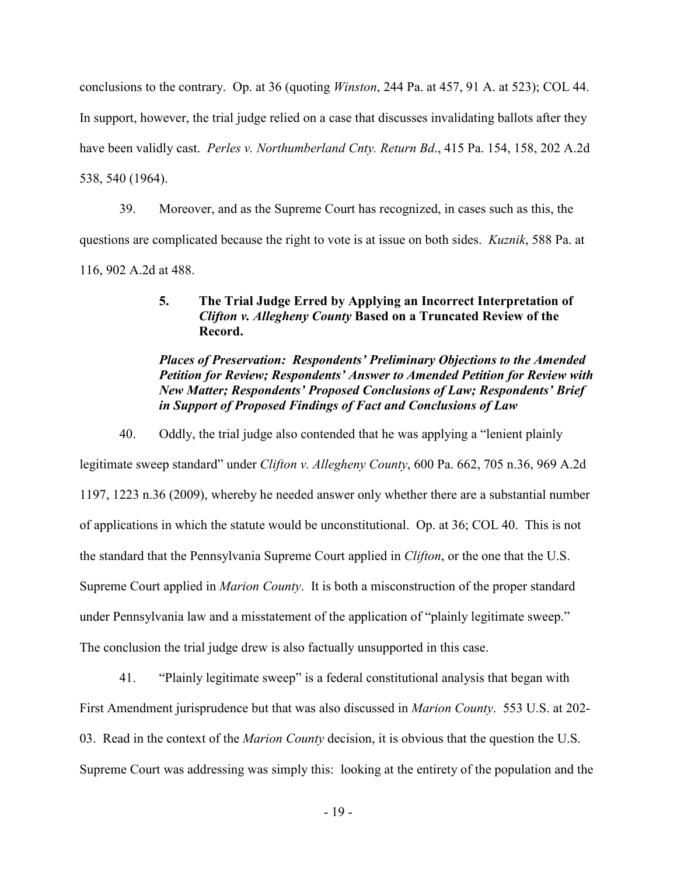conclusions to the contrary. Op. at 36 (quoting *Winston*, 244 Pa. at 457, 91 A. at 523); COL 44.

In support, however, the trial judge relied on a case that discusses invalidating ballots after they

have been validly cast. *Perles v. Northumberland Cnty. Return Bd*., 415 Pa. 154, 158, 202 A.2d

538, 540 (1964).

39. Moreover, and as the Supreme Court has recognized, in cases such as this, the questions are complicated because the right to vote is at issue on both sides. *Kuznik*, 588 Pa. at 116, 902 A.2d at 488.

## **5. The Trial Judge Erred by Applying an Incorrect Interpretation of**  *Clifton v. Allegheny County* **Based on a Truncated Review of the Record.**

## *Places of Preservation: Respondents' Preliminary Objections to the Amended Petition for Review; Respondents' Answer to Amended Petition for Review with New Matter; Respondents' Proposed Conclusions of Law; Respondents' Brief in Support of Proposed Findings of Fact and Conclusions of Law*

40. Oddly, the trial judge also contended that he was applying a "lenient plainly

legitimate sweep standard" under *Clifton v. Allegheny County*, 600 Pa. 662, 705 n.36, 969 A.2d 1197, 1223 n.36 (2009), whereby he needed answer only whether there are a substantial number of applications in which the statute would be unconstitutional. Op. at 36; COL 40. This is not the standard that the Pennsylvania Supreme Court applied in *Clifton*, or the one that the U.S. Supreme Court applied in *Marion County*. It is both a misconstruction of the proper standard under Pennsylvania law and a misstatement of the application of "plainly legitimate sweep." The conclusion the trial judge drew is also factually unsupported in this case.

41. "Plainly legitimate sweep" is a federal constitutional analysis that began with First Amendment jurisprudence but that was also discussed in *Marion County*. 553 U.S. at 202- 03. Read in the context of the *Marion County* decision, it is obvious that the question the U.S. Supreme Court was addressing was simply this: looking at the entirety of the population and the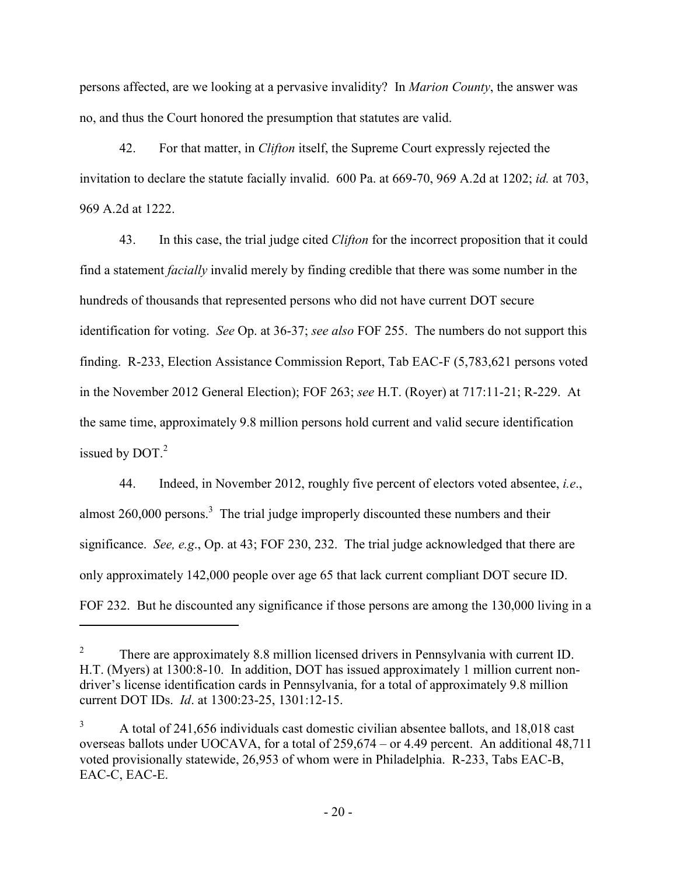persons affected, are we looking at a pervasive invalidity? In *Marion County*, the answer was no, and thus the Court honored the presumption that statutes are valid.

42. For that matter, in *Clifton* itself, the Supreme Court expressly rejected the invitation to declare the statute facially invalid. 600 Pa. at 669-70, 969 A.2d at 1202; *id.* at 703, 969 A.2d at 1222.

43. In this case, the trial judge cited *Clifton* for the incorrect proposition that it could find a statement *facially* invalid merely by finding credible that there was some number in the hundreds of thousands that represented persons who did not have current DOT secure identification for voting. *See* Op. at 36-37; *see also* FOF 255. The numbers do not support this finding. R-233, Election Assistance Commission Report, Tab EAC-F (5,783,621 persons voted in the November 2012 General Election); FOF 263; *see* H.T. (Royer) at 717:11-21; R-229. At the same time, approximately 9.8 million persons hold current and valid secure identification issued by  $DOT.<sup>2</sup>$ 

44. Indeed, in November 2012, roughly five percent of electors voted absentee, *i.e*., almost  $260,000$  persons.<sup>3</sup> The trial judge improperly discounted these numbers and their significance. *See, e.g*., Op. at 43; FOF 230, 232. The trial judge acknowledged that there are only approximately 142,000 people over age 65 that lack current compliant DOT secure ID. FOF 232. But he discounted any significance if those persons are among the 130,000 living in a

-

<sup>2</sup> There are approximately 8.8 million licensed drivers in Pennsylvania with current ID. H.T. (Myers) at 1300:8-10. In addition, DOT has issued approximately 1 million current nondriver's license identification cards in Pennsylvania, for a total of approximately 9.8 million current DOT IDs. *Id*. at 1300:23-25, 1301:12-15.

<sup>3</sup> A total of 241,656 individuals cast domestic civilian absentee ballots, and 18,018 cast overseas ballots under UOCAVA, for a total of 259,674 – or 4.49 percent. An additional 48,711 voted provisionally statewide, 26,953 of whom were in Philadelphia. R-233, Tabs EAC-B, EAC-C, EAC-E.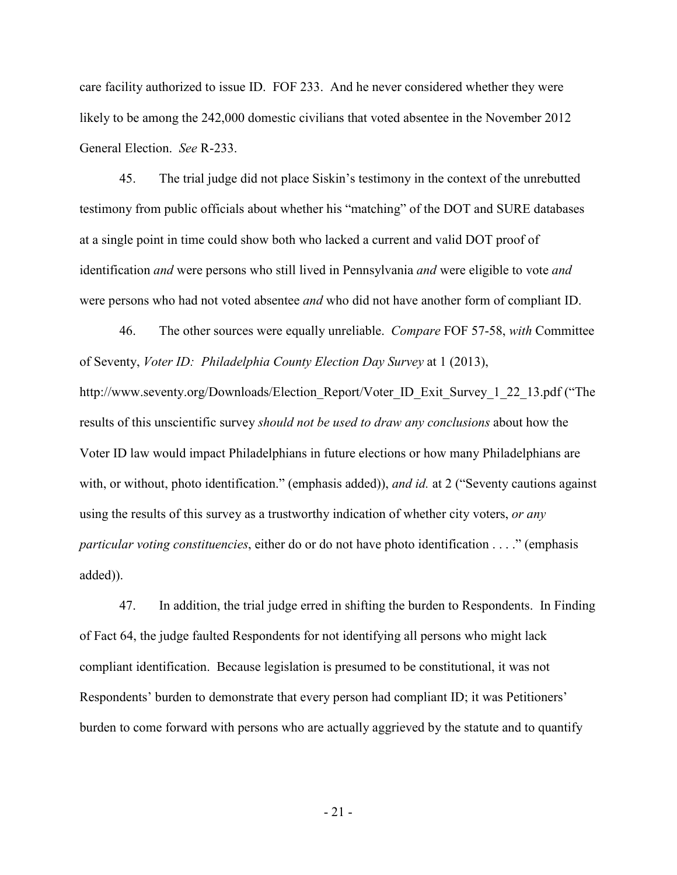care facility authorized to issue ID. FOF 233. And he never considered whether they were likely to be among the 242,000 domestic civilians that voted absentee in the November 2012 General Election. *See* R-233.

45. The trial judge did not place Siskin's testimony in the context of the unrebutted testimony from public officials about whether his "matching" of the DOT and SURE databases at a single point in time could show both who lacked a current and valid DOT proof of identification *and* were persons who still lived in Pennsylvania *and* were eligible to vote *and* were persons who had not voted absentee *and* who did not have another form of compliant ID.

46. The other sources were equally unreliable. *Compare* FOF 57-58, *with* Committee of Seventy, *Voter ID: Philadelphia County Election Day Survey* at 1 (2013), http://www.seventy.org/Downloads/Election\_Report/Voter\_ID\_Exit\_Survey\_1\_22\_13.pdf ("The results of this unscientific survey *should not be used to draw any conclusions* about how the Voter ID law would impact Philadelphians in future elections or how many Philadelphians are with, or without, photo identification." (emphasis added)), *and id.* at 2 ("Seventy cautions against using the results of this survey as a trustworthy indication of whether city voters, *or any particular voting constituencies*, either do or do not have photo identification . . . ." (emphasis added)).

47. In addition, the trial judge erred in shifting the burden to Respondents. In Finding of Fact 64, the judge faulted Respondents for not identifying all persons who might lack compliant identification. Because legislation is presumed to be constitutional, it was not Respondents' burden to demonstrate that every person had compliant ID; it was Petitioners' burden to come forward with persons who are actually aggrieved by the statute and to quantify

- 21 -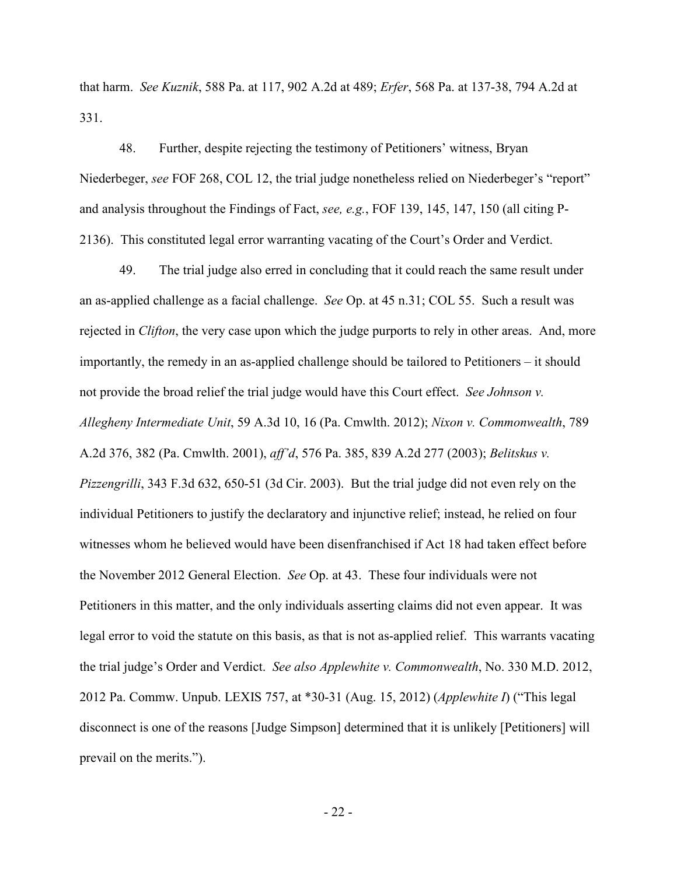that harm. *See Kuznik*, 588 Pa. at 117, 902 A.2d at 489; *Erfer*, 568 Pa. at 137-38, 794 A.2d at 331.

48. Further, despite rejecting the testimony of Petitioners' witness, Bryan Niederbeger, *see* FOF 268, COL 12, the trial judge nonetheless relied on Niederbeger's "report" and analysis throughout the Findings of Fact, *see, e.g.*, FOF 139, 145, 147, 150 (all citing P-2136). This constituted legal error warranting vacating of the Court's Order and Verdict.

49. The trial judge also erred in concluding that it could reach the same result under an as-applied challenge as a facial challenge. *See* Op. at 45 n.31; COL 55. Such a result was rejected in *Clifton*, the very case upon which the judge purports to rely in other areas. And, more importantly, the remedy in an as-applied challenge should be tailored to Petitioners – it should not provide the broad relief the trial judge would have this Court effect. *See Johnson v. Allegheny Intermediate Unit*, 59 A.3d 10, 16 (Pa. Cmwlth. 2012); *Nixon v. Commonwealth*, 789 A.2d 376, 382 (Pa. Cmwlth. 2001), *aff'd*, 576 Pa. 385, 839 A.2d 277 (2003); *Belitskus v. Pizzengrilli*, 343 F.3d 632, 650-51 (3d Cir. 2003). But the trial judge did not even rely on the individual Petitioners to justify the declaratory and injunctive relief; instead, he relied on four witnesses whom he believed would have been disenfranchised if Act 18 had taken effect before the November 2012 General Election. *See* Op. at 43. These four individuals were not Petitioners in this matter, and the only individuals asserting claims did not even appear. It was legal error to void the statute on this basis, as that is not as-applied relief. This warrants vacating the trial judge's Order and Verdict. *See also Applewhite v. Commonwealth*, No. 330 M.D. 2012, 2012 Pa. Commw. Unpub. LEXIS 757, at \*30-31 (Aug. 15, 2012) (*Applewhite I*) ("This legal disconnect is one of the reasons [Judge Simpson] determined that it is unlikely [Petitioners] will prevail on the merits.").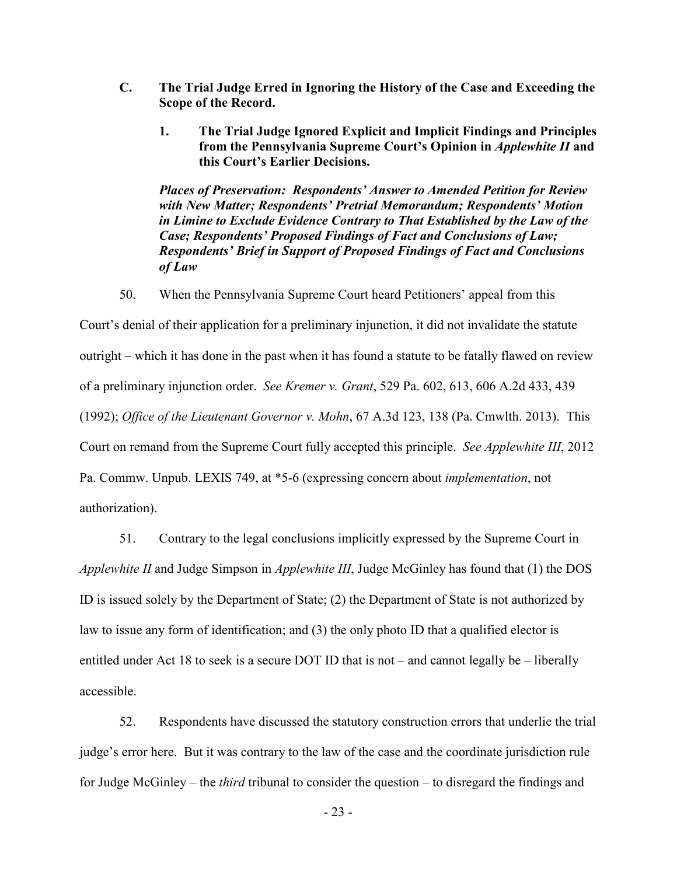- **C. The Trial Judge Erred in Ignoring the History of the Case and Exceeding the Scope of the Record.** 
	- **1. The Trial Judge Ignored Explicit and Implicit Findings and Principles from the Pennsylvania Supreme Court's Opinion in** *Applewhite II* **and this Court's Earlier Decisions.**

*Places of Preservation: Respondents' Answer to Amended Petition for Review with New Matter; Respondents' Pretrial Memorandum; Respondents' Motion in Limine to Exclude Evidence Contrary to That Established by the Law of the Case; Respondents' Proposed Findings of Fact and Conclusions of Law; Respondents' Brief in Support of Proposed Findings of Fact and Conclusions of Law* 

50. When the Pennsylvania Supreme Court heard Petitioners' appeal from this

Court's denial of their application for a preliminary injunction, it did not invalidate the statute outright – which it has done in the past when it has found a statute to be fatally flawed on review of a preliminary injunction order. *See Kremer v. Grant*, 529 Pa. 602, 613, 606 A.2d 433, 439 (1992); *Office of the Lieutenant Governor v. Mohn*, 67 A.3d 123, 138 (Pa. Cmwlth. 2013). This Court on remand from the Supreme Court fully accepted this principle. *See Applewhite III*, 2012 Pa. Commw. Unpub. LEXIS 749, at \*5-6 (expressing concern about *implementation*, not authorization).

51. Contrary to the legal conclusions implicitly expressed by the Supreme Court in

*Applewhite II* and Judge Simpson in *Applewhite III*, Judge McGinley has found that (1) the DOS ID is issued solely by the Department of State; (2) the Department of State is not authorized by law to issue any form of identification; and (3) the only photo ID that a qualified elector is entitled under Act 18 to seek is a secure DOT ID that is not – and cannot legally be – liberally accessible.

52. Respondents have discussed the statutory construction errors that underlie the trial judge's error here. But it was contrary to the law of the case and the coordinate jurisdiction rule for Judge McGinley – the *third* tribunal to consider the question – to disregard the findings and

- 23 -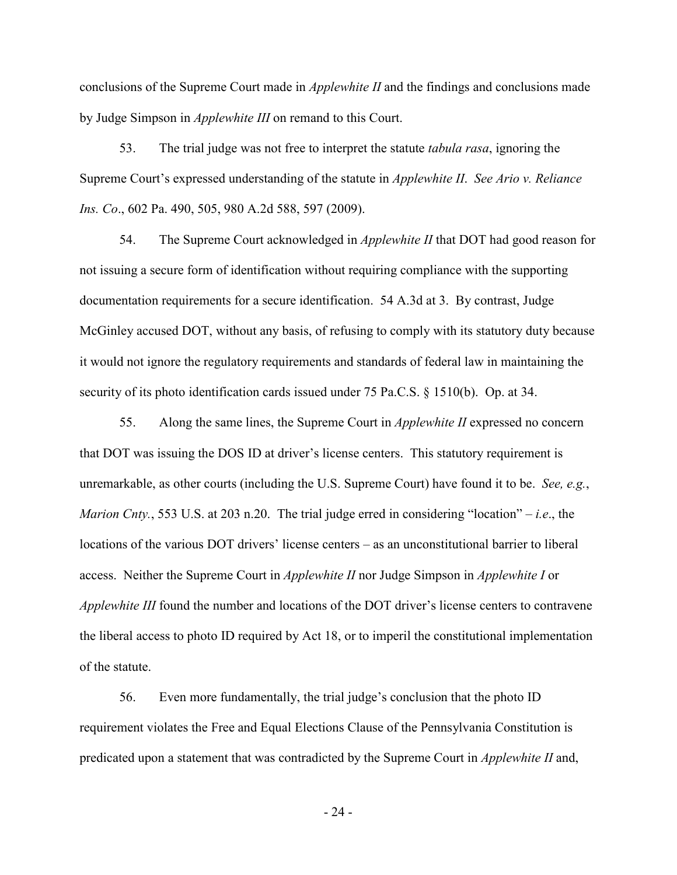conclusions of the Supreme Court made in *Applewhite II* and the findings and conclusions made by Judge Simpson in *Applewhite III* on remand to this Court.

53. The trial judge was not free to interpret the statute *tabula rasa*, ignoring the Supreme Court's expressed understanding of the statute in *Applewhite II*. *See Ario v. Reliance Ins. Co*., 602 Pa. 490, 505, 980 A.2d 588, 597 (2009).

54. The Supreme Court acknowledged in *Applewhite II* that DOT had good reason for not issuing a secure form of identification without requiring compliance with the supporting documentation requirements for a secure identification. 54 A.3d at 3. By contrast, Judge McGinley accused DOT, without any basis, of refusing to comply with its statutory duty because it would not ignore the regulatory requirements and standards of federal law in maintaining the security of its photo identification cards issued under 75 Pa.C.S. § 1510(b). Op. at 34.

55. Along the same lines, the Supreme Court in *Applewhite II* expressed no concern that DOT was issuing the DOS ID at driver's license centers. This statutory requirement is unremarkable, as other courts (including the U.S. Supreme Court) have found it to be. *See, e.g.*, *Marion Cnty.*, 553 U.S. at 203 n.20. The trial judge erred in considering "location" – *i.e*., the locations of the various DOT drivers' license centers – as an unconstitutional barrier to liberal access. Neither the Supreme Court in *Applewhite II* nor Judge Simpson in *Applewhite I* or *Applewhite III* found the number and locations of the DOT driver's license centers to contravene the liberal access to photo ID required by Act 18, or to imperil the constitutional implementation of the statute.

56. Even more fundamentally, the trial judge's conclusion that the photo ID requirement violates the Free and Equal Elections Clause of the Pennsylvania Constitution is predicated upon a statement that was contradicted by the Supreme Court in *Applewhite II* and,

- 24 -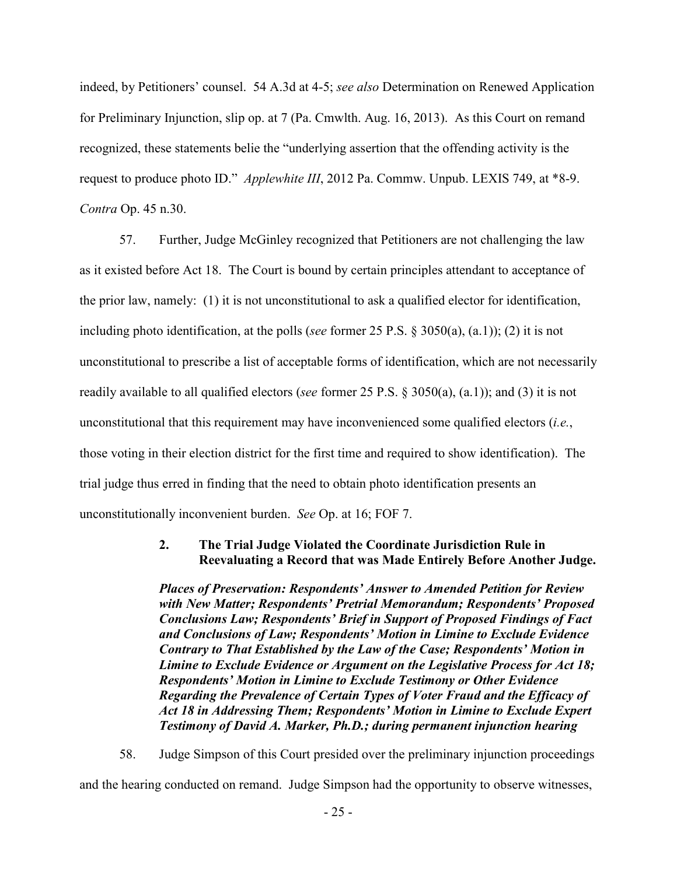indeed, by Petitioners' counsel. 54 A.3d at 4-5; *see also* Determination on Renewed Application for Preliminary Injunction, slip op. at 7 (Pa. Cmwlth. Aug. 16, 2013). As this Court on remand recognized, these statements belie the "underlying assertion that the offending activity is the request to produce photo ID." *Applewhite III*, 2012 Pa. Commw. Unpub. LEXIS 749, at \*8-9. *Contra* Op. 45 n.30.

57. Further, Judge McGinley recognized that Petitioners are not challenging the law as it existed before Act 18. The Court is bound by certain principles attendant to acceptance of the prior law, namely: (1) it is not unconstitutional to ask a qualified elector for identification, including photo identification, at the polls (*see* former 25 P.S. § 3050(a), (a.1)); (2) it is not unconstitutional to prescribe a list of acceptable forms of identification, which are not necessarily readily available to all qualified electors (*see* former 25 P.S. § 3050(a), (a.1)); and (3) it is not unconstitutional that this requirement may have inconvenienced some qualified electors (*i.e.*, those voting in their election district for the first time and required to show identification). The trial judge thus erred in finding that the need to obtain photo identification presents an unconstitutionally inconvenient burden. *See* Op. at 16; FOF 7.

### **2. The Trial Judge Violated the Coordinate Jurisdiction Rule in Reevaluating a Record that was Made Entirely Before Another Judge.**

*Places of Preservation: Respondents' Answer to Amended Petition for Review with New Matter; Respondents' Pretrial Memorandum; Respondents' Proposed Conclusions Law; Respondents' Brief in Support of Proposed Findings of Fact and Conclusions of Law; Respondents' Motion in Limine to Exclude Evidence Contrary to That Established by the Law of the Case; Respondents' Motion in Limine to Exclude Evidence or Argument on the Legislative Process for Act 18; Respondents' Motion in Limine to Exclude Testimony or Other Evidence Regarding the Prevalence of Certain Types of Voter Fraud and the Efficacy of Act 18 in Addressing Them; Respondents' Motion in Limine to Exclude Expert Testimony of David A. Marker, Ph.D.; during permanent injunction hearing*

58. Judge Simpson of this Court presided over the preliminary injunction proceedings and the hearing conducted on remand. Judge Simpson had the opportunity to observe witnesses,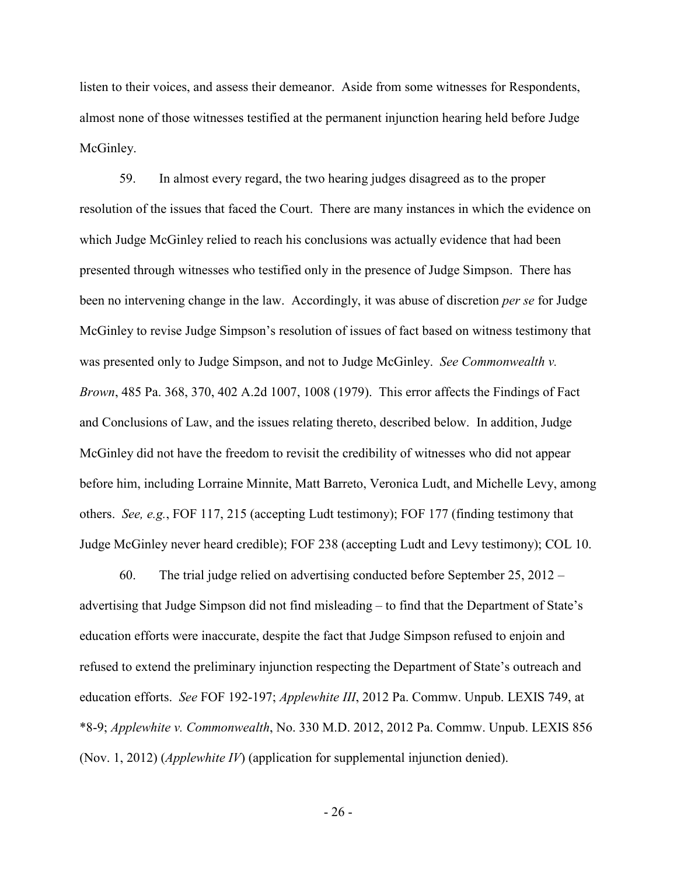listen to their voices, and assess their demeanor. Aside from some witnesses for Respondents, almost none of those witnesses testified at the permanent injunction hearing held before Judge McGinley.

59. In almost every regard, the two hearing judges disagreed as to the proper resolution of the issues that faced the Court. There are many instances in which the evidence on which Judge McGinley relied to reach his conclusions was actually evidence that had been presented through witnesses who testified only in the presence of Judge Simpson. There has been no intervening change in the law. Accordingly, it was abuse of discretion *per se* for Judge McGinley to revise Judge Simpson's resolution of issues of fact based on witness testimony that was presented only to Judge Simpson, and not to Judge McGinley. *See Commonwealth v. Brown*, 485 Pa. 368, 370, 402 A.2d 1007, 1008 (1979). This error affects the Findings of Fact and Conclusions of Law, and the issues relating thereto, described below. In addition, Judge McGinley did not have the freedom to revisit the credibility of witnesses who did not appear before him, including Lorraine Minnite, Matt Barreto, Veronica Ludt, and Michelle Levy, among others. *See, e.g.*, FOF 117, 215 (accepting Ludt testimony); FOF 177 (finding testimony that Judge McGinley never heard credible); FOF 238 (accepting Ludt and Levy testimony); COL 10.

60. The trial judge relied on advertising conducted before September 25, 2012 – advertising that Judge Simpson did not find misleading – to find that the Department of State's education efforts were inaccurate, despite the fact that Judge Simpson refused to enjoin and refused to extend the preliminary injunction respecting the Department of State's outreach and education efforts. *See* FOF 192-197; *Applewhite III*, 2012 Pa. Commw. Unpub. LEXIS 749, at \*8-9; *Applewhite v. Commonwealth*, No. 330 M.D. 2012, 2012 Pa. Commw. Unpub. LEXIS 856 (Nov. 1, 2012) (*Applewhite IV*) (application for supplemental injunction denied).

- 26 -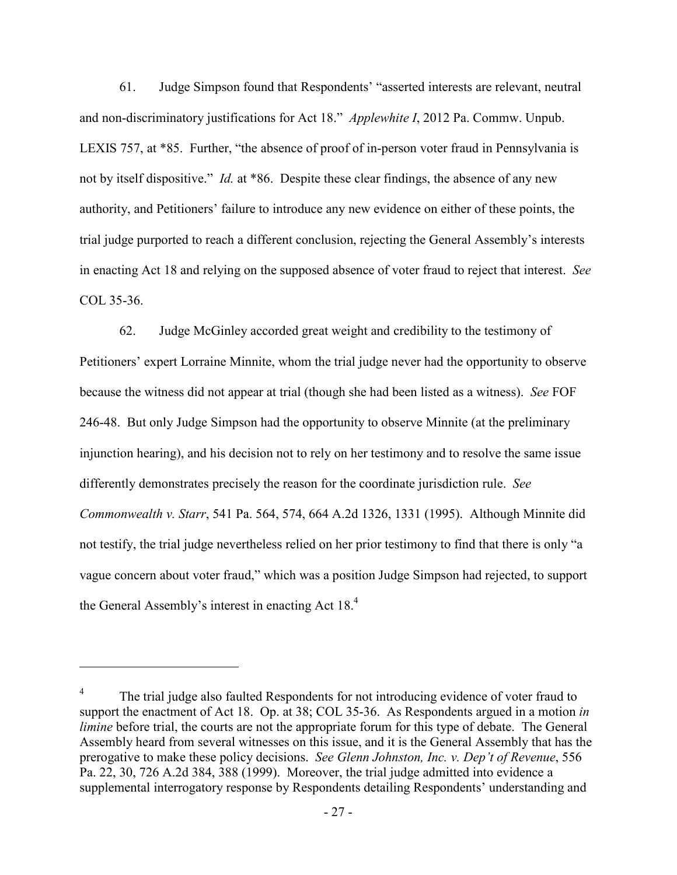61. Judge Simpson found that Respondents' "asserted interests are relevant, neutral and non-discriminatory justifications for Act 18." *Applewhite I*, 2012 Pa. Commw. Unpub. LEXIS 757, at \*85. Further, "the absence of proof of in-person voter fraud in Pennsylvania is not by itself dispositive." *Id.* at \*86. Despite these clear findings, the absence of any new authority, and Petitioners' failure to introduce any new evidence on either of these points, the trial judge purported to reach a different conclusion, rejecting the General Assembly's interests in enacting Act 18 and relying on the supposed absence of voter fraud to reject that interest. *See* COL 35-36.

62. Judge McGinley accorded great weight and credibility to the testimony of Petitioners' expert Lorraine Minnite, whom the trial judge never had the opportunity to observe because the witness did not appear at trial (though she had been listed as a witness). *See* FOF 246-48. But only Judge Simpson had the opportunity to observe Minnite (at the preliminary injunction hearing), and his decision not to rely on her testimony and to resolve the same issue differently demonstrates precisely the reason for the coordinate jurisdiction rule. *See Commonwealth v. Starr*, 541 Pa. 564, 574, 664 A.2d 1326, 1331 (1995). Although Minnite did not testify, the trial judge nevertheless relied on her prior testimony to find that there is only "a vague concern about voter fraud," which was a position Judge Simpson had rejected, to support the General Assembly's interest in enacting Act  $18<sup>4</sup>$ 

 $\overline{a}$ 

<sup>4</sup> The trial judge also faulted Respondents for not introducing evidence of voter fraud to support the enactment of Act 18. Op. at 38; COL 35-36. As Respondents argued in a motion *in limine* before trial, the courts are not the appropriate forum for this type of debate. The General Assembly heard from several witnesses on this issue, and it is the General Assembly that has the prerogative to make these policy decisions. *See Glenn Johnston, Inc. v. Dep't of Revenue*, 556 Pa. 22, 30, 726 A.2d 384, 388 (1999). Moreover, the trial judge admitted into evidence a supplemental interrogatory response by Respondents detailing Respondents' understanding and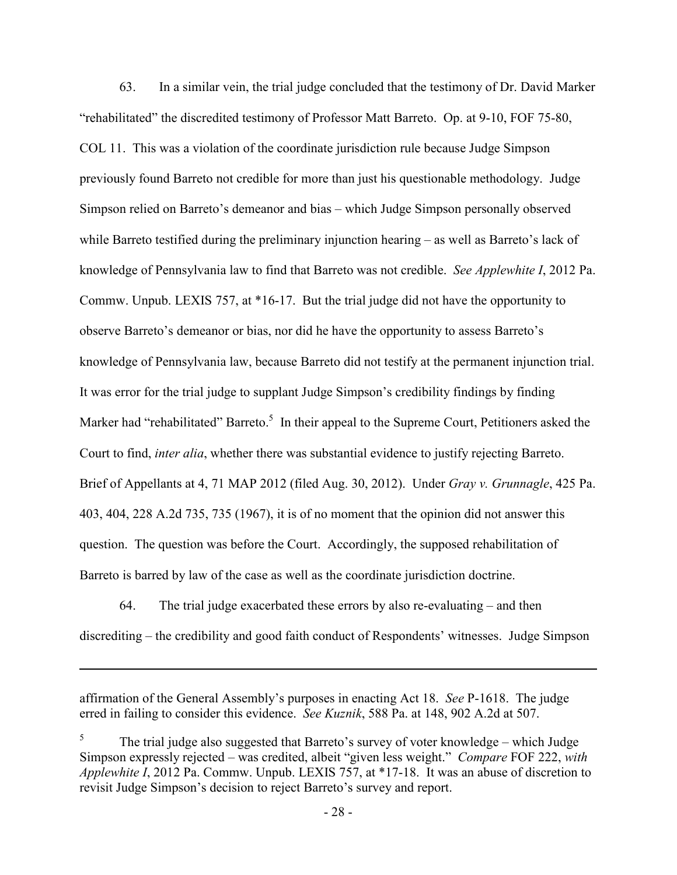63. In a similar vein, the trial judge concluded that the testimony of Dr. David Marker "rehabilitated" the discredited testimony of Professor Matt Barreto. Op. at 9-10, FOF 75-80, COL 11. This was a violation of the coordinate jurisdiction rule because Judge Simpson previously found Barreto not credible for more than just his questionable methodology. Judge Simpson relied on Barreto's demeanor and bias – which Judge Simpson personally observed while Barreto testified during the preliminary injunction hearing – as well as Barreto's lack of knowledge of Pennsylvania law to find that Barreto was not credible. *See Applewhite I*, 2012 Pa. Commw. Unpub. LEXIS 757, at \*16-17. But the trial judge did not have the opportunity to observe Barreto's demeanor or bias, nor did he have the opportunity to assess Barreto's knowledge of Pennsylvania law, because Barreto did not testify at the permanent injunction trial. It was error for the trial judge to supplant Judge Simpson's credibility findings by finding Marker had "rehabilitated" Barreto.<sup>5</sup> In their appeal to the Supreme Court, Petitioners asked the Court to find, *inter alia*, whether there was substantial evidence to justify rejecting Barreto. Brief of Appellants at 4, 71 MAP 2012 (filed Aug. 30, 2012). Under *Gray v. Grunnagle*, 425 Pa. 403, 404, 228 A.2d 735, 735 (1967), it is of no moment that the opinion did not answer this question. The question was before the Court. Accordingly, the supposed rehabilitation of Barreto is barred by law of the case as well as the coordinate jurisdiction doctrine.

64. The trial judge exacerbated these errors by also re-evaluating – and then discrediting – the credibility and good faith conduct of Respondents' witnesses. Judge Simpson

affirmation of the General Assembly's purposes in enacting Act 18. *See* P-1618. The judge erred in failing to consider this evidence. *See Kuznik*, 588 Pa. at 148, 902 A.2d at 507.

<u>.</u>

5 The trial judge also suggested that Barreto's survey of voter knowledge – which Judge Simpson expressly rejected – was credited, albeit "given less weight." *Compare* FOF 222, *with Applewhite I*, 2012 Pa. Commw. Unpub. LEXIS 757, at \*17-18. It was an abuse of discretion to revisit Judge Simpson's decision to reject Barreto's survey and report.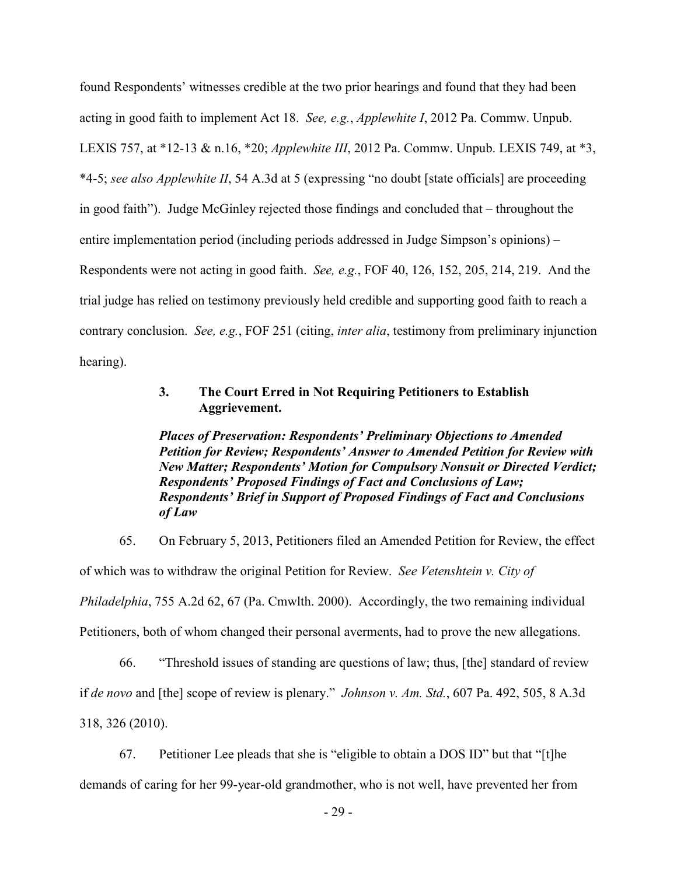found Respondents' witnesses credible at the two prior hearings and found that they had been acting in good faith to implement Act 18. *See, e.g.*, *Applewhite I*, 2012 Pa. Commw. Unpub. LEXIS 757, at \*12-13 & n.16, \*20; *Applewhite III*, 2012 Pa. Commw. Unpub. LEXIS 749, at \*3, \*4-5; *see also Applewhite II*, 54 A.3d at 5 (expressing "no doubt [state officials] are proceeding in good faith"). Judge McGinley rejected those findings and concluded that – throughout the entire implementation period (including periods addressed in Judge Simpson's opinions) – Respondents were not acting in good faith. *See, e.g.*, FOF 40, 126, 152, 205, 214, 219. And the trial judge has relied on testimony previously held credible and supporting good faith to reach a contrary conclusion. *See, e.g.*, FOF 251 (citing, *inter alia*, testimony from preliminary injunction hearing).

## **3. The Court Erred in Not Requiring Petitioners to Establish Aggrievement.**

*Places of Preservation: Respondents' Preliminary Objections to Amended Petition for Review; Respondents' Answer to Amended Petition for Review with New Matter; Respondents' Motion for Compulsory Nonsuit or Directed Verdict; Respondents' Proposed Findings of Fact and Conclusions of Law; Respondents' Brief in Support of Proposed Findings of Fact and Conclusions of Law*

65. On February 5, 2013, Petitioners filed an Amended Petition for Review, the effect of which was to withdraw the original Petition for Review. *See Vetenshtein v. City of Philadelphia*, 755 A.2d 62, 67 (Pa. Cmwlth. 2000). Accordingly, the two remaining individual Petitioners, both of whom changed their personal averments, had to prove the new allegations.

66. "Threshold issues of standing are questions of law; thus, [the] standard of review if *de novo* and [the] scope of review is plenary." *Johnson v. Am. Std.*, 607 Pa. 492, 505, 8 A.3d 318, 326 (2010).

67. Petitioner Lee pleads that she is "eligible to obtain a DOS ID" but that "[t]he demands of caring for her 99-year-old grandmother, who is not well, have prevented her from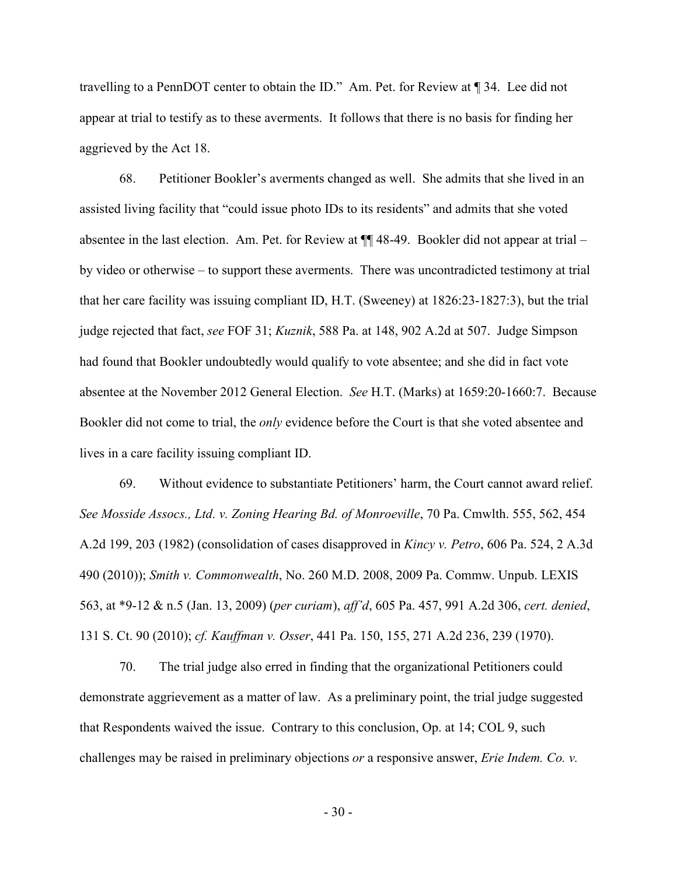travelling to a PennDOT center to obtain the ID." Am. Pet. for Review at ¶ 34. Lee did not appear at trial to testify as to these averments. It follows that there is no basis for finding her aggrieved by the Act 18.

68. Petitioner Bookler's averments changed as well. She admits that she lived in an assisted living facility that "could issue photo IDs to its residents" and admits that she voted absentee in the last election. Am. Pet. for Review at ¶¶ 48-49. Bookler did not appear at trial – by video or otherwise – to support these averments. There was uncontradicted testimony at trial that her care facility was issuing compliant ID, H.T. (Sweeney) at 1826:23-1827:3), but the trial judge rejected that fact, *see* FOF 31; *Kuznik*, 588 Pa. at 148, 902 A.2d at 507. Judge Simpson had found that Bookler undoubtedly would qualify to vote absentee; and she did in fact vote absentee at the November 2012 General Election. *See* H.T. (Marks) at 1659:20-1660:7. Because Bookler did not come to trial, the *only* evidence before the Court is that she voted absentee and lives in a care facility issuing compliant ID.

69. Without evidence to substantiate Petitioners' harm, the Court cannot award relief. *See Mosside Assocs., Ltd. v. Zoning Hearing Bd. of Monroeville*, 70 Pa. Cmwlth. 555, 562, 454 A.2d 199, 203 (1982) (consolidation of cases disapproved in *Kincy v. Petro*, 606 Pa. 524, 2 A.3d 490 (2010)); *Smith v. Commonwealth*, No. 260 M.D. 2008, 2009 Pa. Commw. Unpub. LEXIS 563, at \*9-12 & n.5 (Jan. 13, 2009) (*per curiam*), *aff'd*, 605 Pa. 457, 991 A.2d 306, *cert. denied*, 131 S. Ct. 90 (2010); *cf. Kauffman v. Osser*, 441 Pa. 150, 155, 271 A.2d 236, 239 (1970).

70. The trial judge also erred in finding that the organizational Petitioners could demonstrate aggrievement as a matter of law. As a preliminary point, the trial judge suggested that Respondents waived the issue. Contrary to this conclusion, Op. at 14; COL 9, such challenges may be raised in preliminary objections *or* a responsive answer, *Erie Indem. Co. v.* 

- 30 -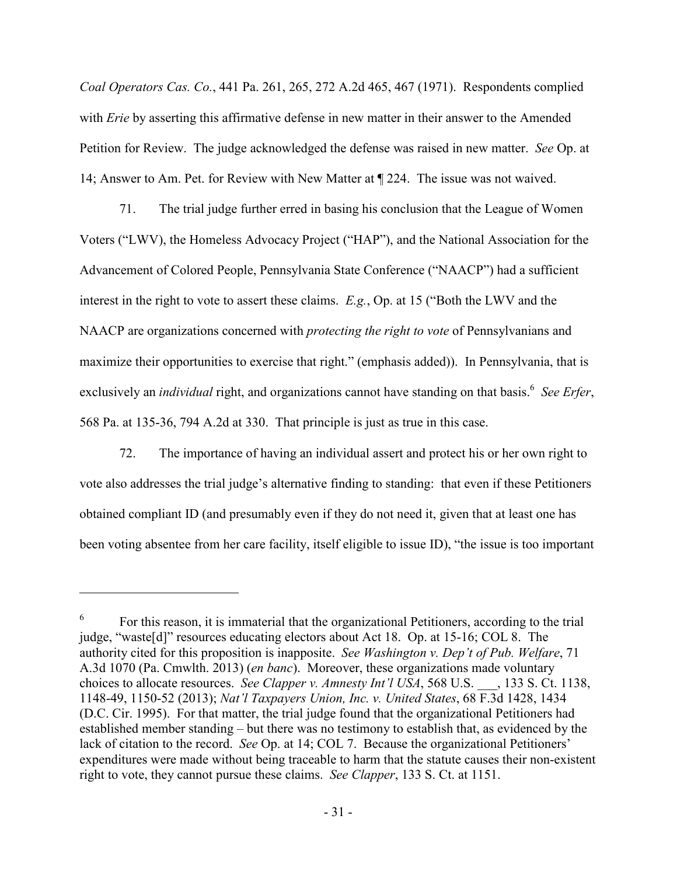*Coal Operators Cas. Co.*, 441 Pa. 261, 265, 272 A.2d 465, 467 (1971). Respondents complied with *Erie* by asserting this affirmative defense in new matter in their answer to the Amended Petition for Review. The judge acknowledged the defense was raised in new matter. *See* Op. at 14; Answer to Am. Pet. for Review with New Matter at ¶ 224. The issue was not waived.

71. The trial judge further erred in basing his conclusion that the League of Women Voters ("LWV), the Homeless Advocacy Project ("HAP"), and the National Association for the Advancement of Colored People, Pennsylvania State Conference ("NAACP") had a sufficient interest in the right to vote to assert these claims. *E.g.*, Op. at 15 ("Both the LWV and the NAACP are organizations concerned with *protecting the right to vote* of Pennsylvanians and maximize their opportunities to exercise that right." (emphasis added)). In Pennsylvania, that is exclusively an *individual* right, and organizations cannot have standing on that basis.<sup>6</sup> See Erfer, 568 Pa. at 135-36, 794 A.2d at 330. That principle is just as true in this case.

72. The importance of having an individual assert and protect his or her own right to vote also addresses the trial judge's alternative finding to standing: that even if these Petitioners obtained compliant ID (and presumably even if they do not need it, given that at least one has been voting absentee from her care facility, itself eligible to issue ID), "the issue is too important

 $\overline{a}$ 

<sup>6</sup> For this reason, it is immaterial that the organizational Petitioners, according to the trial judge, "waste[d]" resources educating electors about Act 18. Op. at 15-16; COL 8. The authority cited for this proposition is inapposite. *See Washington v. Dep't of Pub. Welfare*, 71 A.3d 1070 (Pa. Cmwlth. 2013) (*en banc*). Moreover, these organizations made voluntary choices to allocate resources. *See Clapper v. Amnesty Int'l USA*, 568 U.S. \_\_\_, 133 S. Ct. 1138, 1148-49, 1150-52 (2013); *Nat'l Taxpayers Union, Inc. v. United States*, 68 F.3d 1428, 1434 (D.C. Cir. 1995). For that matter, the trial judge found that the organizational Petitioners had established member standing – but there was no testimony to establish that, as evidenced by the lack of citation to the record. *See* Op. at 14; COL 7. Because the organizational Petitioners' expenditures were made without being traceable to harm that the statute causes their non-existent right to vote, they cannot pursue these claims. *See Clapper*, 133 S. Ct. at 1151.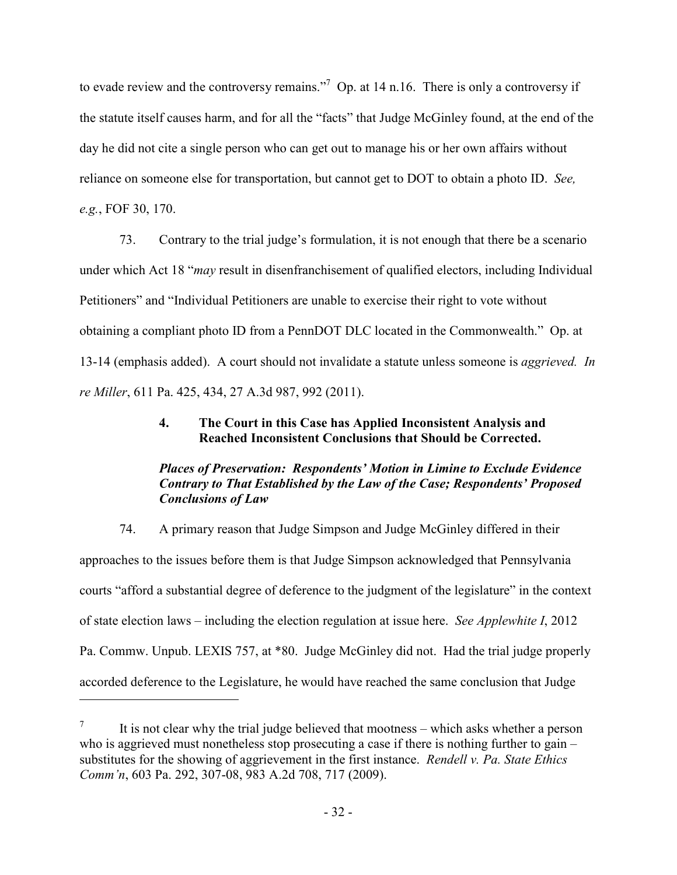to evade review and the controversy remains."<sup>7</sup> Op. at 14 n.16. There is only a controversy if the statute itself causes harm, and for all the "facts" that Judge McGinley found, at the end of the day he did not cite a single person who can get out to manage his or her own affairs without reliance on someone else for transportation, but cannot get to DOT to obtain a photo ID. *See, e.g.*, FOF 30, 170.

73. Contrary to the trial judge's formulation, it is not enough that there be a scenario under which Act 18 "*may* result in disenfranchisement of qualified electors, including Individual Petitioners" and "Individual Petitioners are unable to exercise their right to vote without obtaining a compliant photo ID from a PennDOT DLC located in the Commonwealth." Op. at 13-14 (emphasis added). A court should not invalidate a statute unless someone is *aggrieved. In re Miller*, 611 Pa. 425, 434, 27 A.3d 987, 992 (2011).

### **4. The Court in this Case has Applied Inconsistent Analysis and Reached Inconsistent Conclusions that Should be Corrected.**

## *Places of Preservation: Respondents' Motion in Limine to Exclude Evidence Contrary to That Established by the Law of the Case; Respondents' Proposed Conclusions of Law*

74. A primary reason that Judge Simpson and Judge McGinley differed in their approaches to the issues before them is that Judge Simpson acknowledged that Pennsylvania courts "afford a substantial degree of deference to the judgment of the legislature" in the context of state election laws – including the election regulation at issue here. *See Applewhite I*, 2012 Pa. Commw. Unpub. LEXIS 757, at \*80. Judge McGinley did not. Had the trial judge properly accorded deference to the Legislature, he would have reached the same conclusion that Judge

-

<sup>7</sup> It is not clear why the trial judge believed that mootness – which asks whether a person who is aggrieved must nonetheless stop prosecuting a case if there is nothing further to gain – substitutes for the showing of aggrievement in the first instance. *Rendell v. Pa. State Ethics Comm'n*, 603 Pa. 292, 307-08, 983 A.2d 708, 717 (2009).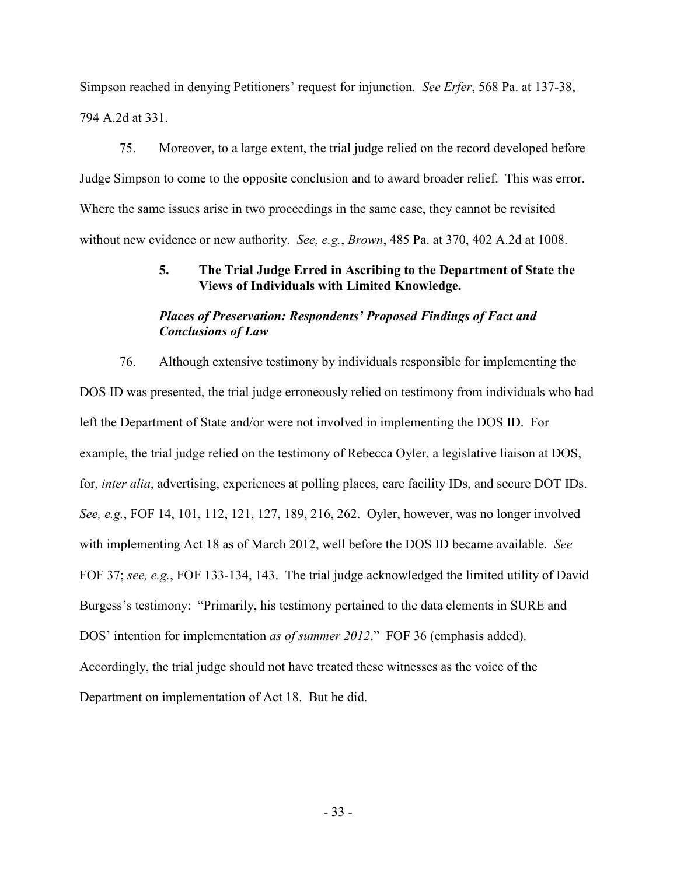Simpson reached in denying Petitioners' request for injunction. *See Erfer*, 568 Pa. at 137-38, 794 A.2d at 331.

75. Moreover, to a large extent, the trial judge relied on the record developed before Judge Simpson to come to the opposite conclusion and to award broader relief. This was error. Where the same issues arise in two proceedings in the same case, they cannot be revisited without new evidence or new authority. *See, e.g.*, *Brown*, 485 Pa. at 370, 402 A.2d at 1008.

## **5. The Trial Judge Erred in Ascribing to the Department of State the Views of Individuals with Limited Knowledge.**

## *Places of Preservation: Respondents' Proposed Findings of Fact and Conclusions of Law*

76. Although extensive testimony by individuals responsible for implementing the DOS ID was presented, the trial judge erroneously relied on testimony from individuals who had left the Department of State and/or were not involved in implementing the DOS ID. For example, the trial judge relied on the testimony of Rebecca Oyler, a legislative liaison at DOS, for, *inter alia*, advertising, experiences at polling places, care facility IDs, and secure DOT IDs. *See, e.g.*, FOF 14, 101, 112, 121, 127, 189, 216, 262. Oyler, however, was no longer involved with implementing Act 18 as of March 2012, well before the DOS ID became available. *See* FOF 37; *see, e.g.*, FOF 133-134, 143. The trial judge acknowledged the limited utility of David Burgess's testimony: "Primarily, his testimony pertained to the data elements in SURE and DOS' intention for implementation *as of summer 2012*." FOF 36 (emphasis added). Accordingly, the trial judge should not have treated these witnesses as the voice of the Department on implementation of Act 18. But he did.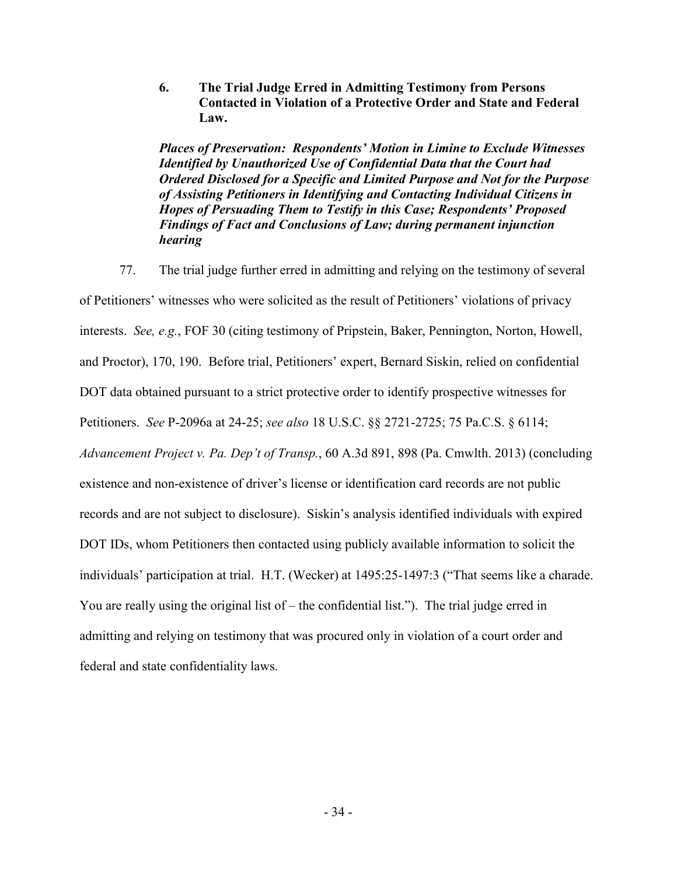**6. The Trial Judge Erred in Admitting Testimony from Persons Contacted in Violation of a Protective Order and State and Federal Law.** 

*Places of Preservation: Respondents' Motion in Limine to Exclude Witnesses Identified by Unauthorized Use of Confidential Data that the Court had Ordered Disclosed for a Specific and Limited Purpose and Not for the Purpose of Assisting Petitioners in Identifying and Contacting Individual Citizens in Hopes of Persuading Them to Testify in this Case; Respondents' Proposed Findings of Fact and Conclusions of Law; during permanent injunction hearing* 

77. The trial judge further erred in admitting and relying on the testimony of several of Petitioners' witnesses who were solicited as the result of Petitioners' violations of privacy interests. *See, e.g.*, FOF 30 (citing testimony of Pripstein, Baker, Pennington, Norton, Howell, and Proctor), 170, 190. Before trial, Petitioners' expert, Bernard Siskin, relied on confidential DOT data obtained pursuant to a strict protective order to identify prospective witnesses for Petitioners. *See* P-2096a at 24-25; *see also* 18 U.S.C. §§ 2721-2725; 75 Pa.C.S. § 6114; *Advancement Project v. Pa. Dep't of Transp.*, 60 A.3d 891, 898 (Pa. Cmwlth. 2013) (concluding existence and non-existence of driver's license or identification card records are not public records and are not subject to disclosure). Siskin's analysis identified individuals with expired DOT IDs, whom Petitioners then contacted using publicly available information to solicit the individuals' participation at trial. H.T. (Wecker) at 1495:25-1497:3 ("That seems like a charade. You are really using the original list of – the confidential list."). The trial judge erred in admitting and relying on testimony that was procured only in violation of a court order and federal and state confidentiality laws.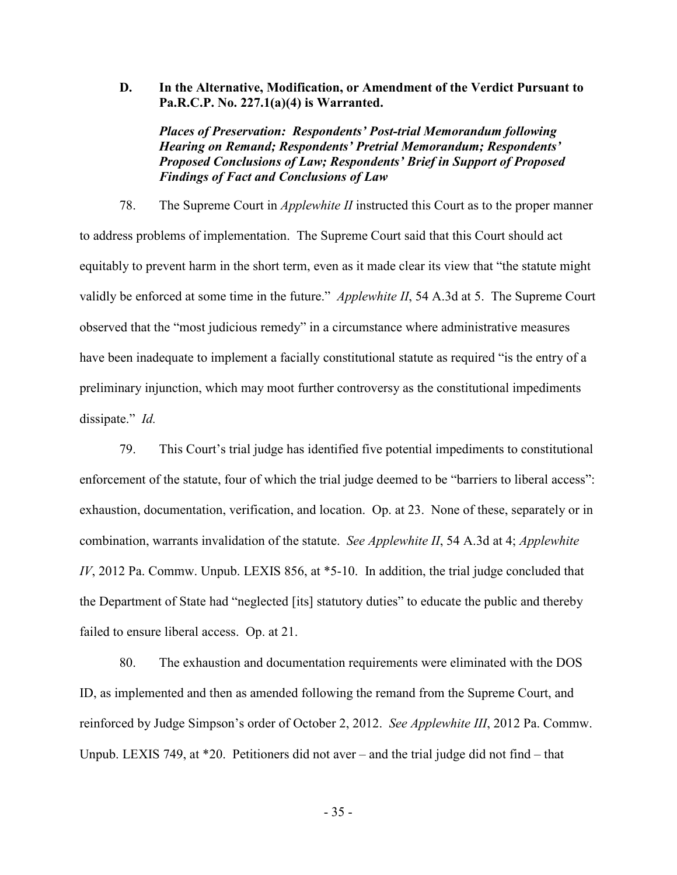**D. In the Alternative, Modification, or Amendment of the Verdict Pursuant to Pa.R.C.P. No. 227.1(a)(4) is Warranted.** 

*Places of Preservation: Respondents' Post-trial Memorandum following Hearing on Remand; Respondents' Pretrial Memorandum; Respondents' Proposed Conclusions of Law; Respondents' Brief in Support of Proposed Findings of Fact and Conclusions of Law* 

78. The Supreme Court in *Applewhite II* instructed this Court as to the proper manner to address problems of implementation. The Supreme Court said that this Court should act equitably to prevent harm in the short term, even as it made clear its view that "the statute might validly be enforced at some time in the future." *Applewhite II*, 54 A.3d at 5. The Supreme Court observed that the "most judicious remedy" in a circumstance where administrative measures have been inadequate to implement a facially constitutional statute as required "is the entry of a preliminary injunction, which may moot further controversy as the constitutional impediments dissipate." *Id.*

79. This Court's trial judge has identified five potential impediments to constitutional enforcement of the statute, four of which the trial judge deemed to be "barriers to liberal access": exhaustion, documentation, verification, and location. Op. at 23. None of these, separately or in combination, warrants invalidation of the statute. *See Applewhite II*, 54 A.3d at 4; *Applewhite IV*, 2012 Pa. Commw. Unpub. LEXIS 856, at  $*5$ -10. In addition, the trial judge concluded that the Department of State had "neglected [its] statutory duties" to educate the public and thereby failed to ensure liberal access. Op. at 21.

80. The exhaustion and documentation requirements were eliminated with the DOS ID, as implemented and then as amended following the remand from the Supreme Court, and reinforced by Judge Simpson's order of October 2, 2012. *See Applewhite III*, 2012 Pa. Commw. Unpub. LEXIS 749, at \*20. Petitioners did not aver – and the trial judge did not find – that

- 35 -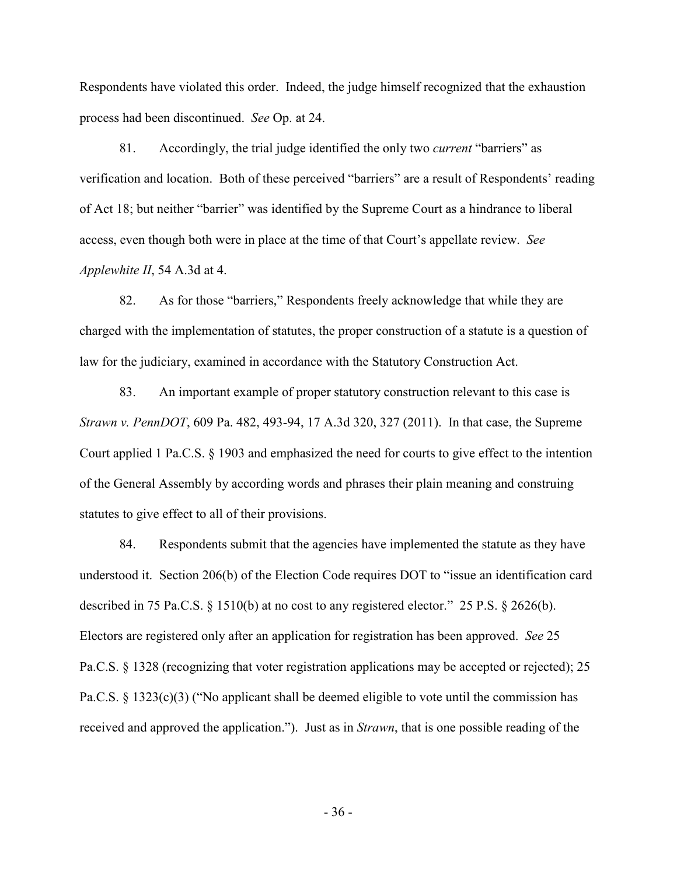Respondents have violated this order. Indeed, the judge himself recognized that the exhaustion process had been discontinued. *See* Op. at 24.

81. Accordingly, the trial judge identified the only two *current* "barriers" as verification and location. Both of these perceived "barriers" are a result of Respondents' reading of Act 18; but neither "barrier" was identified by the Supreme Court as a hindrance to liberal access, even though both were in place at the time of that Court's appellate review. *See Applewhite II*, 54 A.3d at 4.

82. As for those "barriers," Respondents freely acknowledge that while they are charged with the implementation of statutes, the proper construction of a statute is a question of law for the judiciary, examined in accordance with the Statutory Construction Act.

83. An important example of proper statutory construction relevant to this case is *Strawn v. PennDOT*, 609 Pa. 482, 493-94, 17 A.3d 320, 327 (2011). In that case, the Supreme Court applied 1 Pa.C.S. § 1903 and emphasized the need for courts to give effect to the intention of the General Assembly by according words and phrases their plain meaning and construing statutes to give effect to all of their provisions.

84. Respondents submit that the agencies have implemented the statute as they have understood it. Section 206(b) of the Election Code requires DOT to "issue an identification card described in 75 Pa.C.S. § 1510(b) at no cost to any registered elector." 25 P.S. § 2626(b). Electors are registered only after an application for registration has been approved. *See* 25 Pa.C.S. § 1328 (recognizing that voter registration applications may be accepted or rejected); 25 Pa.C.S. § 1323(c)(3) ("No applicant shall be deemed eligible to vote until the commission has received and approved the application."). Just as in *Strawn*, that is one possible reading of the

- 36 -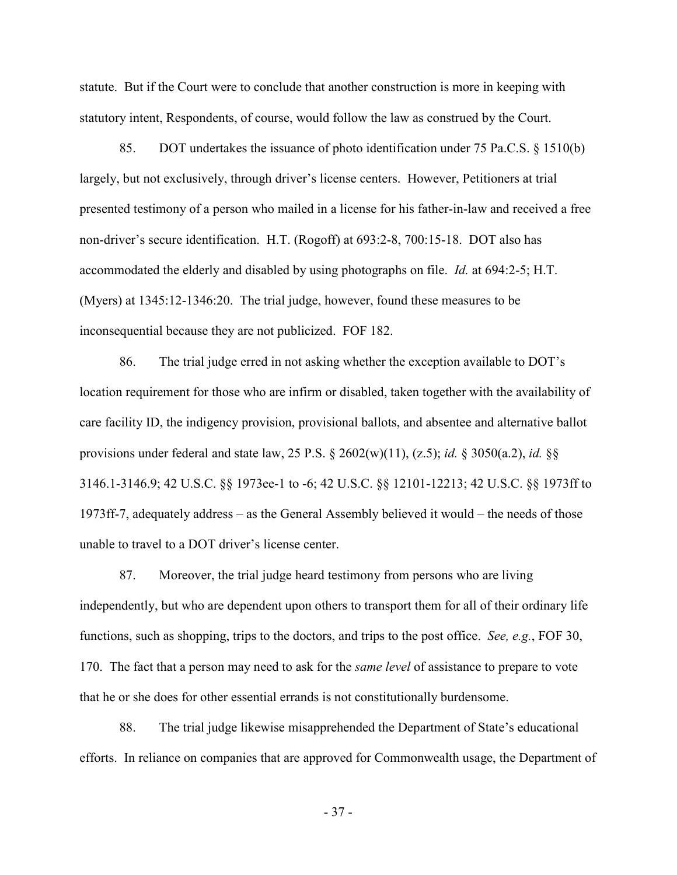statute. But if the Court were to conclude that another construction is more in keeping with statutory intent, Respondents, of course, would follow the law as construed by the Court.

85. DOT undertakes the issuance of photo identification under 75 Pa.C.S. § 1510(b) largely, but not exclusively, through driver's license centers. However, Petitioners at trial presented testimony of a person who mailed in a license for his father-in-law and received a free non-driver's secure identification. H.T. (Rogoff) at 693:2-8, 700:15-18. DOT also has accommodated the elderly and disabled by using photographs on file. *Id.* at 694:2-5; H.T. (Myers) at 1345:12-1346:20. The trial judge, however, found these measures to be inconsequential because they are not publicized. FOF 182.

86. The trial judge erred in not asking whether the exception available to DOT's location requirement for those who are infirm or disabled, taken together with the availability of care facility ID, the indigency provision, provisional ballots, and absentee and alternative ballot provisions under federal and state law, 25 P.S. § 2602(w)(11), (z.5); *id.* § 3050(a.2), *id.* §§ 3146.1-3146.9; 42 U.S.C. §§ 1973ee-1 to -6; 42 U.S.C. §§ 12101-12213; 42 U.S.C. §§ 1973ff to 1973ff-7, adequately address – as the General Assembly believed it would – the needs of those unable to travel to a DOT driver's license center.

87. Moreover, the trial judge heard testimony from persons who are living independently, but who are dependent upon others to transport them for all of their ordinary life functions, such as shopping, trips to the doctors, and trips to the post office. *See, e.g.*, FOF 30, 170. The fact that a person may need to ask for the *same level* of assistance to prepare to vote that he or she does for other essential errands is not constitutionally burdensome.

88. The trial judge likewise misapprehended the Department of State's educational efforts. In reliance on companies that are approved for Commonwealth usage, the Department of

- 37 -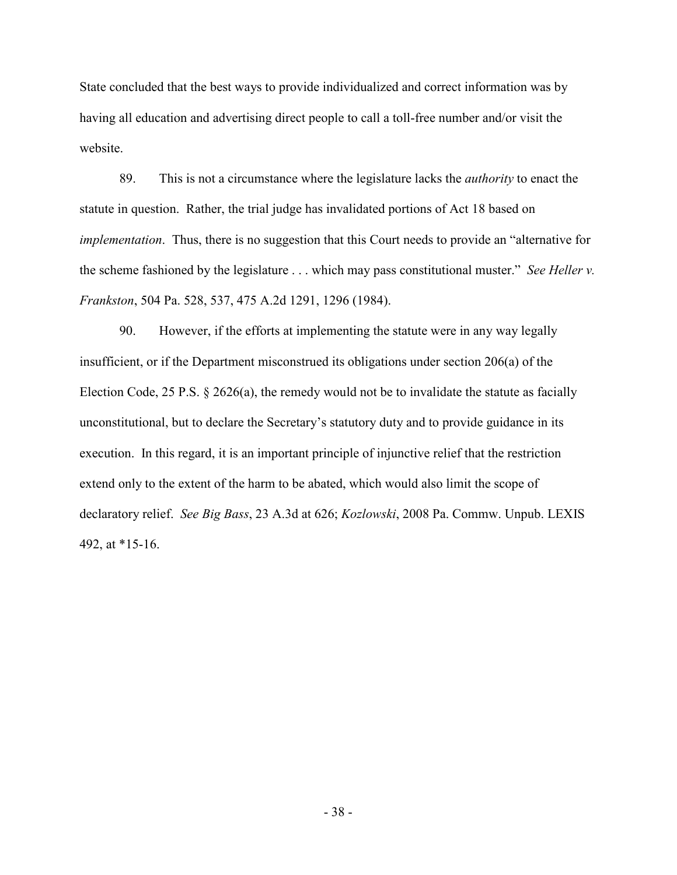State concluded that the best ways to provide individualized and correct information was by having all education and advertising direct people to call a toll-free number and/or visit the website.

89. This is not a circumstance where the legislature lacks the *authority* to enact the statute in question. Rather, the trial judge has invalidated portions of Act 18 based on *implementation*. Thus, there is no suggestion that this Court needs to provide an "alternative for the scheme fashioned by the legislature . . . which may pass constitutional muster." *See Heller v. Frankston*, 504 Pa. 528, 537, 475 A.2d 1291, 1296 (1984).

90. However, if the efforts at implementing the statute were in any way legally insufficient, or if the Department misconstrued its obligations under section 206(a) of the Election Code, 25 P.S. § 2626(a), the remedy would not be to invalidate the statute as facially unconstitutional, but to declare the Secretary's statutory duty and to provide guidance in its execution. In this regard, it is an important principle of injunctive relief that the restriction extend only to the extent of the harm to be abated, which would also limit the scope of declaratory relief. *See Big Bass*, 23 A.3d at 626; *Kozlowski*, 2008 Pa. Commw. Unpub. LEXIS 492, at \*15-16.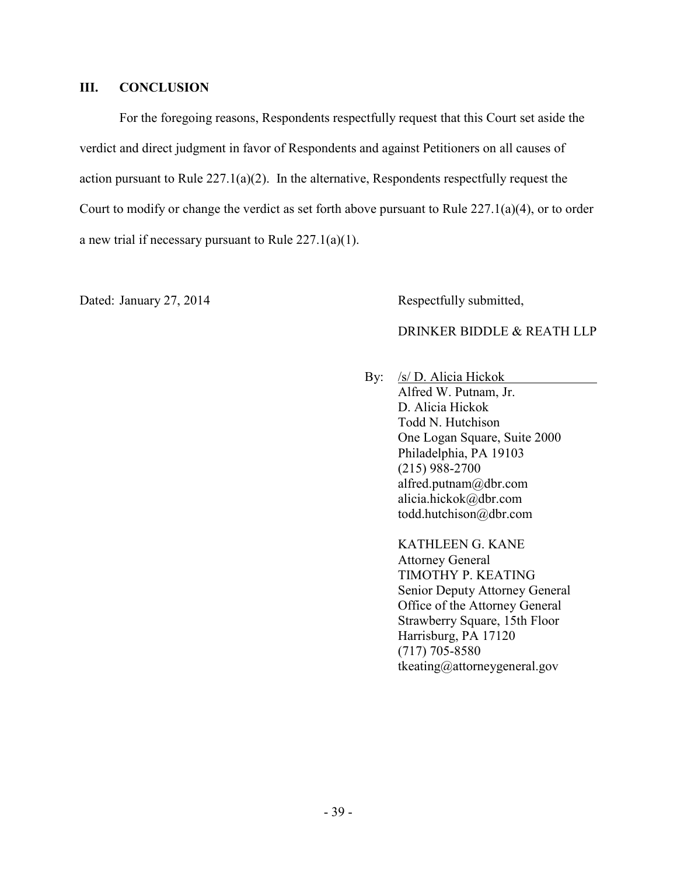#### **III. CONCLUSION**

For the foregoing reasons, Respondents respectfully request that this Court set aside the verdict and direct judgment in favor of Respondents and against Petitioners on all causes of action pursuant to Rule  $227.1(a)(2)$ . In the alternative, Respondents respectfully request the Court to modify or change the verdict as set forth above pursuant to Rule 227.1(a)(4), or to order a new trial if necessary pursuant to Rule 227.1(a)(1).

Dated: January 27, 2014 Respectfully submitted,

## DRINKER BIDDLE & REATH LLP

 By:/s/ D. Alicia Hickok Alfred W. Putnam, Jr. D. Alicia Hickok Todd N. Hutchison One Logan Square, Suite 2000 Philadelphia, PA 19103 (215) 988-2700 alfred.putnam@dbr.com alicia.hickok@dbr.com todd.hutchison@dbr.com

> KATHLEEN G. KANE Attorney General TIMOTHY P. KEATING Senior Deputy Attorney General Office of the Attorney General Strawberry Square, 15th Floor Harrisburg, PA 17120 (717) 705-8580 tkeating@attorneygeneral.gov